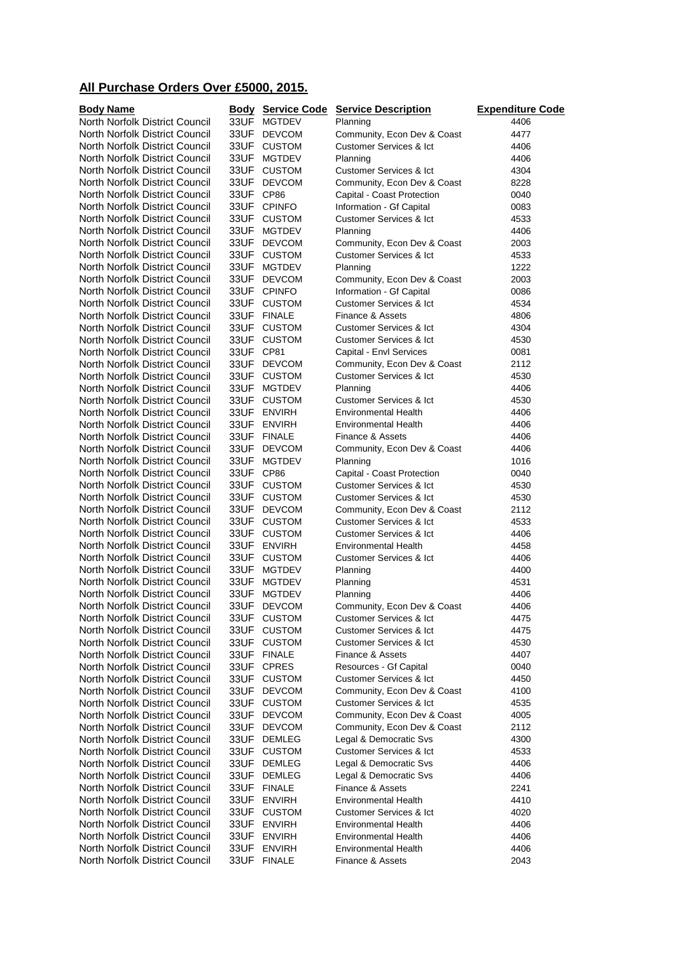## **All Purchase Orders Over £5000, 2015.**

| <b>Body Name</b>               |           | <b>Body Service Code</b> | <b>Service Description</b>         | <b>Expenditure Code</b> |
|--------------------------------|-----------|--------------------------|------------------------------------|-------------------------|
| North Norfolk District Council | 33UF      | <b>MGTDEV</b>            | Planning                           | 4406                    |
| North Norfolk District Council | 33UF      | <b>DEVCOM</b>            | Community, Econ Dev & Coast        | 4477                    |
| North Norfolk District Council | 33UF      | <b>CUSTOM</b>            | <b>Customer Services &amp; Ict</b> | 4406                    |
| North Norfolk District Council | 33UF      | <b>MGTDEV</b>            | Planning                           | 4406                    |
| North Norfolk District Council |           | 33UF CUSTOM              | <b>Customer Services &amp; Ict</b> | 4304                    |
| North Norfolk District Council |           | 33UF DEVCOM              | Community, Econ Dev & Coast        | 8228                    |
| North Norfolk District Council | 33UF CP86 |                          | Capital - Coast Protection         | 0040                    |
| North Norfolk District Council |           | 33UF CPINFO              | Information - Gf Capital           | 0083                    |
| North Norfolk District Council |           | 33UF CUSTOM              | <b>Customer Services &amp; Ict</b> | 4533                    |
| North Norfolk District Council |           | 33UF MGTDEV              | Planning                           | 4406                    |
| North Norfolk District Council |           | 33UF DEVCOM              | Community, Econ Dev & Coast        | 2003                    |
| North Norfolk District Council |           | 33UF CUSTOM              | <b>Customer Services &amp; Ict</b> | 4533                    |
| North Norfolk District Council | 33UF      | <b>MGTDEV</b>            | Planning                           | 1222                    |
| North Norfolk District Council |           | 33UF DEVCOM              | Community, Econ Dev & Coast        | 2003                    |
| North Norfolk District Council |           | 33UF CPINFO              | Information - Gf Capital           | 0086                    |
| North Norfolk District Council |           | 33UF CUSTOM              | <b>Customer Services &amp; Ict</b> | 4534                    |
| North Norfolk District Council |           | 33UF FINALE              | Finance & Assets                   | 4806                    |
| North Norfolk District Council |           | 33UF CUSTOM              | <b>Customer Services &amp; Ict</b> | 4304                    |
| North Norfolk District Council |           | 33UF CUSTOM              | <b>Customer Services &amp; Ict</b> | 4530                    |
| North Norfolk District Council | 33UF CP81 |                          | Capital - Envl Services            | 0081                    |
| North Norfolk District Council |           | 33UF DEVCOM              | Community, Econ Dev & Coast        | 2112                    |
| North Norfolk District Council |           | 33UF CUSTOM              | <b>Customer Services &amp; Ict</b> | 4530                    |
| North Norfolk District Council | 33UF      | <b>MGTDEV</b>            | Planning                           | 4406                    |
| North Norfolk District Council |           | 33UF CUSTOM              | <b>Customer Services &amp; Ict</b> | 4530                    |
| North Norfolk District Council |           | 33UF ENVIRH              | <b>Environmental Health</b>        | 4406                    |
| North Norfolk District Council |           | 33UF ENVIRH              | <b>Environmental Health</b>        | 4406                    |
| North Norfolk District Council |           | 33UF FINALE              | Finance & Assets                   | 4406                    |
| North Norfolk District Council |           | 33UF DEVCOM              | Community, Econ Dev & Coast        | 4406                    |
| North Norfolk District Council | 33UF      | <b>MGTDEV</b>            | Planning                           | 1016                    |
| North Norfolk District Council | 33UF CP86 |                          | Capital - Coast Protection         | 0040                    |
| North Norfolk District Council |           | 33UF CUSTOM              | <b>Customer Services &amp; Ict</b> | 4530                    |
| North Norfolk District Council |           | 33UF CUSTOM              | <b>Customer Services &amp; Ict</b> | 4530                    |
| North Norfolk District Council |           | 33UF DEVCOM              | Community, Econ Dev & Coast        | 2112                    |
| North Norfolk District Council | 33UF      | <b>CUSTOM</b>            | <b>Customer Services &amp; Ict</b> | 4533                    |
| North Norfolk District Council |           | 33UF CUSTOM              | <b>Customer Services &amp; Ict</b> | 4406                    |
| North Norfolk District Council |           | 33UF ENVIRH              | <b>Environmental Health</b>        | 4458                    |
| North Norfolk District Council |           | 33UF CUSTOM              | <b>Customer Services &amp; Ict</b> | 4406                    |
| North Norfolk District Council | 33UF      | <b>MGTDEV</b>            | Planning                           | 4400                    |
| North Norfolk District Council | 33UF      | <b>MGTDEV</b>            | Planning                           | 4531                    |
| North Norfolk District Council | 33UF      | <b>MGTDEV</b>            | Planning                           | 4406                    |
| North Norfolk District Council | 33UF      | <b>DEVCOM</b>            | Community, Econ Dev & Coast        | 4406                    |
| North Norfolk District Council | 33UF      | <b>CUSTOM</b>            | <b>Customer Services &amp; Ict</b> | 4475                    |
| North Norfolk District Council | 33UF      | <b>CUSTOM</b>            | <b>Customer Services &amp; Ict</b> | 4475                    |
| North Norfolk District Council |           | 33UF CUSTOM              | <b>Customer Services &amp; Ict</b> | 4530                    |
| North Norfolk District Council |           | 33UF FINALE              | Finance & Assets                   | 4407                    |
| North Norfolk District Council |           | 33UF CPRES               | Resources - Gf Capital             | 0040                    |
| North Norfolk District Council |           | 33UF CUSTOM              | <b>Customer Services &amp; Ict</b> | 4450                    |
| North Norfolk District Council | 33UF      | <b>DEVCOM</b>            | Community, Econ Dev & Coast        | 4100                    |
| North Norfolk District Council |           | 33UF CUSTOM              | <b>Customer Services &amp; Ict</b> | 4535                    |
| North Norfolk District Council | 33UF      | <b>DEVCOM</b>            | Community, Econ Dev & Coast        | 4005                    |
| North Norfolk District Council | 33UF      | <b>DEVCOM</b>            | Community, Econ Dev & Coast        | 2112                    |
| North Norfolk District Council | 33UF      | <b>DEMLEG</b>            | Legal & Democratic Svs             | 4300                    |
| North Norfolk District Council |           | 33UF CUSTOM              | <b>Customer Services &amp; Ict</b> | 4533                    |
| North Norfolk District Council |           | 33UF DEMLEG              | Legal & Democratic Svs             | 4406                    |
| North Norfolk District Council |           | 33UF DEMLEG              | Legal & Democratic Svs             | 4406                    |
| North Norfolk District Council |           | 33UF FINALE              | Finance & Assets                   | 2241                    |
| North Norfolk District Council | 33UF      | <b>ENVIRH</b>            | <b>Environmental Health</b>        | 4410                    |
| North Norfolk District Council |           | 33UF CUSTOM              | <b>Customer Services &amp; Ict</b> | 4020                    |
| North Norfolk District Council |           | 33UF ENVIRH              | <b>Environmental Health</b>        | 4406                    |
| North Norfolk District Council | 33UF      | <b>ENVIRH</b>            | <b>Environmental Health</b>        | 4406                    |
| North Norfolk District Council | 33UF      | <b>ENVIRH</b>            | <b>Environmental Health</b>        | 4406                    |
| North Norfolk District Council | 33UF      | <b>FINALE</b>            | Finance & Assets                   | 2043                    |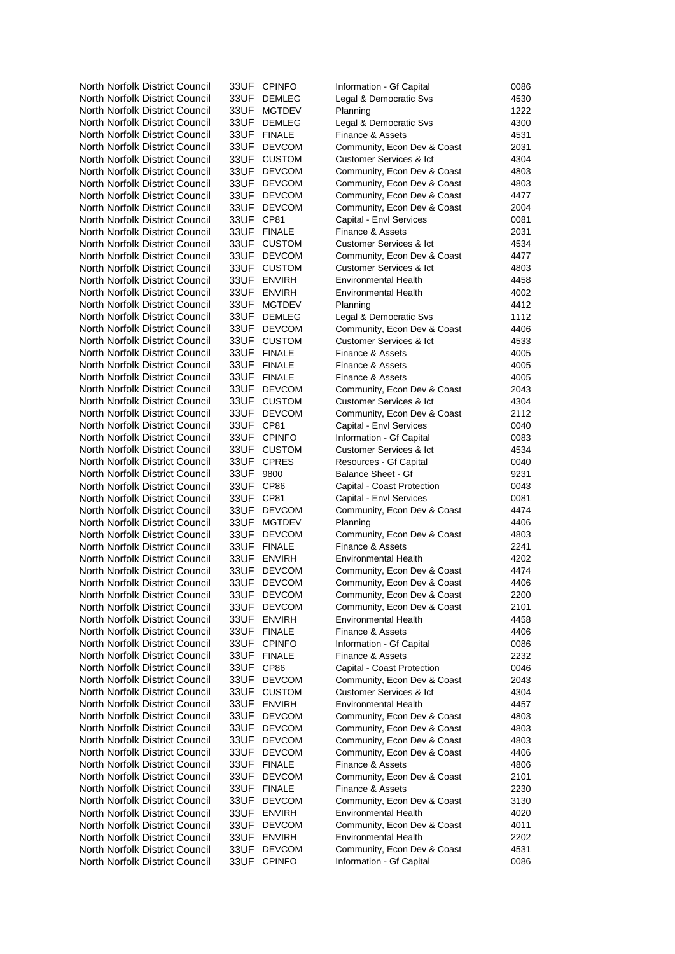| North Norfolk District Council                                   | 33UF -    | <b>CPINFO</b>                | Information - Gf Capital                        | 0086         |
|------------------------------------------------------------------|-----------|------------------------------|-------------------------------------------------|--------------|
| North Norfolk District Council                                   |           | 33UF DEMLEG                  | Legal & Democratic Svs                          | 4530         |
| North Norfolk District Council                                   | 33UF      | <b>MGTDEV</b>                | Planning                                        | 1222         |
| North Norfolk District Council                                   |           | 33UF DEMLEG                  | Legal & Democratic Svs                          | 4300         |
| North Norfolk District Council                                   |           | 33UF FINALE                  | Finance & Assets                                | 4531         |
| North Norfolk District Council                                   | 33UF      | <b>DEVCOM</b>                | Community, Econ Dev & Coast                     | 2031         |
| North Norfolk District Council                                   | 33UF      | <b>CUSTOM</b>                | <b>Customer Services &amp; Ict</b>              | 4304         |
| North Norfolk District Council                                   | 33UF -    | <b>DEVCOM</b>                | Community, Econ Dev & Coast                     | 4803         |
| North Norfolk District Council                                   | 33UF      | <b>DEVCOM</b>                | Community, Econ Dev & Coast                     | 4803         |
| North Norfolk District Council                                   | 33UF      | <b>DEVCOM</b>                | Community, Econ Dev & Coast                     | 4477         |
| North Norfolk District Council                                   |           | 33UF DEVCOM                  | Community, Econ Dev & Coast                     | 2004         |
| North Norfolk District Council                                   | 33UF CP81 |                              | Capital - Envl Services                         | 0081         |
| North Norfolk District Council                                   |           | 33UF FINALE                  | Finance & Assets                                | 2031         |
| North Norfolk District Council                                   |           | 33UF CUSTOM                  | <b>Customer Services &amp; Ict</b>              | 4534         |
| North Norfolk District Council                                   | 33UF      | <b>DEVCOM</b>                | Community, Econ Dev & Coast                     | 4477         |
| North Norfolk District Council                                   |           | 33UF CUSTOM                  | <b>Customer Services &amp; Ict</b>              | 4803         |
| North Norfolk District Council                                   |           | 33UF ENVIRH                  | <b>Environmental Health</b>                     | 4458         |
| North Norfolk District Council                                   |           | 33UF ENVIRH                  | <b>Environmental Health</b>                     | 4002         |
| North Norfolk District Council                                   |           | 33UF MGTDEV                  | Planning                                        | 4412         |
| North Norfolk District Council                                   |           | 33UF DEMLEG                  | Legal & Democratic Svs                          | 1112         |
| North Norfolk District Council                                   |           | 33UF DEVCOM                  | Community, Econ Dev & Coast                     | 4406         |
| North Norfolk District Council                                   |           | 33UF CUSTOM                  | <b>Customer Services &amp; Ict</b>              | 4533         |
| North Norfolk District Council                                   |           | 33UF FINALE                  | Finance & Assets                                | 4005         |
| North Norfolk District Council                                   |           | 33UF FINALE                  | Finance & Assets                                | 4005         |
| North Norfolk District Council                                   |           | 33UF FINALE                  | Finance & Assets                                | 4005         |
| North Norfolk District Council                                   |           | 33UF DEVCOM                  | Community, Econ Dev & Coast                     | 2043         |
| North Norfolk District Council                                   |           | 33UF CUSTOM                  | <b>Customer Services &amp; Ict</b>              | 4304         |
| North Norfolk District Council                                   |           | 33UF DEVCOM                  | Community, Econ Dev & Coast                     | 2112         |
| North Norfolk District Council                                   | 33UF CP81 |                              | Capital - Envl Services                         | 0040         |
| North Norfolk District Council                                   |           | 33UF CPINFO                  | Information - Gf Capital                        | 0083         |
| North Norfolk District Council                                   |           | 33UF CUSTOM                  | <b>Customer Services &amp; Ict</b>              | 4534         |
| North Norfolk District Council                                   |           | 33UF CPRES                   | Resources - Gf Capital                          | 0040         |
| North Norfolk District Council                                   | 33UF      | 9800                         | <b>Balance Sheet - Gf</b>                       | 9231         |
| North Norfolk District Council                                   | 33UF      | CP86                         | Capital - Coast Protection                      | 0043         |
| North Norfolk District Council                                   | 33UF CP81 |                              | Capital - Envl Services                         | 0081         |
| North Norfolk District Council                                   |           | 33UF DEVCOM                  | Community, Econ Dev & Coast                     | 4474         |
| North Norfolk District Council<br>North Norfolk District Council | 33UF      | <b>MGTDEV</b><br>33UF DEVCOM | Planning                                        | 4406         |
| North Norfolk District Council                                   |           | 33UF FINALE                  | Community, Econ Dev & Coast<br>Finance & Assets | 4803<br>2241 |
| North Norfolk District Council                                   | 33UF      | <b>ENVIRH</b>                | Environmental Health                            | 4202         |
| North Norfolk District Council                                   | 33UF      | <b>DEVCOM</b>                | Community, Econ Dev & Coast                     | 4474         |
| North Norfolk District Council                                   | 33UF      | <b>DEVCOM</b>                | Community, Econ Dev & Coast                     | 4406         |
| North Norfolk District Council                                   | 33UF      | <b>DEVCOM</b>                | Community, Econ Dev & Coast                     | 2200         |
| North Norfolk District Council                                   | 33UF      | <b>DEVCOM</b>                | Community, Econ Dev & Coast                     | 2101         |
| North Norfolk District Council                                   |           | 33UF ENVIRH                  | <b>Environmental Health</b>                     | 4458         |
| North Norfolk District Council                                   |           | 33UF FINALE                  | Finance & Assets                                | 4406         |
| North Norfolk District Council                                   |           | 33UF CPINFO                  | Information - Gf Capital                        | 0086         |
| North Norfolk District Council                                   | 33UF      | <b>FINALE</b>                | Finance & Assets                                | 2232         |
| North Norfolk District Council                                   | 33UF CP86 |                              | Capital - Coast Protection                      | 0046         |
| North Norfolk District Council                                   | 33UF      | <b>DEVCOM</b>                | Community, Econ Dev & Coast                     | 2043         |
| North Norfolk District Council                                   |           | 33UF CUSTOM                  | <b>Customer Services &amp; Ict</b>              | 4304         |
| North Norfolk District Council                                   |           | 33UF ENVIRH                  | <b>Environmental Health</b>                     | 4457         |
| North Norfolk District Council                                   | 33UF      | <b>DEVCOM</b>                | Community, Econ Dev & Coast                     | 4803         |
| North Norfolk District Council                                   | 33UF      | <b>DEVCOM</b>                | Community, Econ Dev & Coast                     | 4803         |
| North Norfolk District Council                                   | 33UF      | <b>DEVCOM</b>                | Community, Econ Dev & Coast                     | 4803         |
| North Norfolk District Council                                   | 33UF      | <b>DEVCOM</b>                | Community, Econ Dev & Coast                     | 4406         |
| North Norfolk District Council                                   | 33UF      | <b>FINALE</b>                | Finance & Assets                                | 4806         |
| North Norfolk District Council                                   | 33UF      | <b>DEVCOM</b>                | Community, Econ Dev & Coast                     | 2101         |
| North Norfolk District Council                                   | 33UF      | <b>FINALE</b>                | Finance & Assets                                | 2230         |
| North Norfolk District Council                                   | 33UF      | <b>DEVCOM</b>                | Community, Econ Dev & Coast                     | 3130         |
| North Norfolk District Council                                   |           | 33UF ENVIRH                  | <b>Environmental Health</b>                     | 4020         |
| North Norfolk District Council                                   | 33UF      | <b>DEVCOM</b>                | Community, Econ Dev & Coast                     | 4011         |
| North Norfolk District Council                                   |           | 33UF ENVIRH                  | <b>Environmental Health</b>                     | 2202         |
| North Norfolk District Council                                   | 33UF      | <b>DEVCOM</b>                | Community, Econ Dev & Coast                     | 4531         |
| North Norfolk District Council                                   | 33UF      | <b>CPINFO</b>                | Information - Gf Capital                        | 0086         |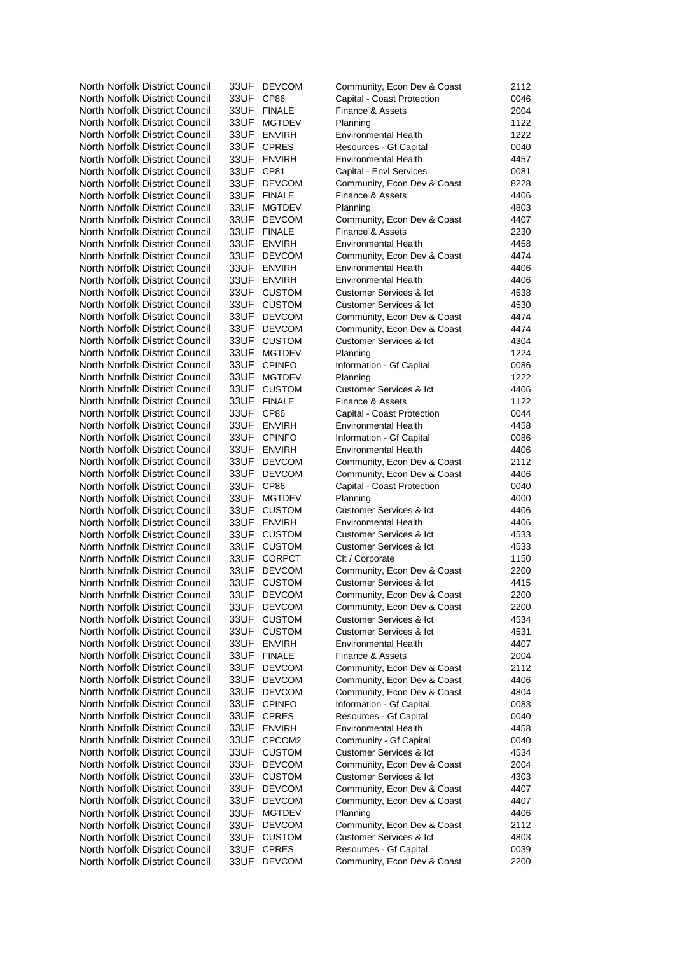| North Norfolk District Council                                   | 33UF -    | <b>DEVCOM</b>              | Community, Econ Dev & Coast                             | 2112         |
|------------------------------------------------------------------|-----------|----------------------------|---------------------------------------------------------|--------------|
| North Norfolk District Council                                   | 33UF      | CP86                       | Capital - Coast Protection                              | 0046         |
| North Norfolk District Council                                   |           | 33UF FINALE                | Finance & Assets                                        | 2004         |
| North Norfolk District Council                                   |           | 33UF MGTDEV                | Planning                                                | 1122         |
| North Norfolk District Council                                   |           | 33UF ENVIRH                | <b>Environmental Health</b>                             | 1222         |
| North Norfolk District Council                                   |           | 33UF CPRES                 | Resources - Gf Capital                                  | 0040         |
| North Norfolk District Council                                   |           | 33UF ENVIRH                | <b>Environmental Health</b>                             | 4457         |
| North Norfolk District Council                                   | 33UF CP81 |                            | Capital - Envl Services                                 | 0081         |
| North Norfolk District Council                                   |           | 33UF DEVCOM                | Community, Econ Dev & Coast                             | 8228         |
| North Norfolk District Council                                   |           | 33UF FINALE                | Finance & Assets                                        | 4406         |
| North Norfolk District Council                                   |           | 33UF MGTDEV                | Planning                                                | 4803         |
| North Norfolk District Council                                   |           | 33UF DEVCOM                | Community, Econ Dev & Coast                             | 4407         |
| North Norfolk District Council                                   |           | 33UF FINALE                | Finance & Assets                                        | 2230         |
| North Norfolk District Council                                   |           | 33UF ENVIRH                | <b>Environmental Health</b>                             | 4458         |
| North Norfolk District Council                                   |           | 33UF DEVCOM                | Community, Econ Dev & Coast                             | 4474         |
| North Norfolk District Council                                   |           | 33UF ENVIRH                | <b>Environmental Health</b>                             | 4406         |
| North Norfolk District Council                                   |           | 33UF ENVIRH                | <b>Environmental Health</b>                             | 4406         |
| North Norfolk District Council                                   |           | 33UF CUSTOM                | <b>Customer Services &amp; Ict</b>                      | 4538         |
| North Norfolk District Council                                   |           | 33UF CUSTOM                | <b>Customer Services &amp; Ict</b>                      | 4530         |
| North Norfolk District Council                                   |           | 33UF DEVCOM                | Community, Econ Dev & Coast                             | 4474         |
| North Norfolk District Council                                   |           | 33UF DEVCOM                | Community, Econ Dev & Coast                             | 4474         |
| North Norfolk District Council                                   |           | 33UF CUSTOM                | <b>Customer Services &amp; Ict</b>                      | 4304         |
| North Norfolk District Council                                   |           | 33UF MGTDEV                | Planning                                                | 1224         |
| North Norfolk District Council                                   |           | 33UF CPINFO                | Information - Gf Capital                                | 0086         |
| North Norfolk District Council                                   |           | 33UF MGTDEV                | Planning                                                | 1222         |
| North Norfolk District Council                                   |           | 33UF CUSTOM                | <b>Customer Services &amp; Ict</b>                      | 4406         |
| North Norfolk District Council                                   |           | 33UF FINALE                | Finance & Assets                                        | 1122         |
| North Norfolk District Council                                   | 33UF CP86 |                            | Capital - Coast Protection                              | 0044         |
| North Norfolk District Council                                   |           | 33UF ENVIRH                | Environmental Health                                    | 4458         |
| North Norfolk District Council<br>North Norfolk District Council |           | 33UF CPINFO<br>33UF ENVIRH | Information - Gf Capital<br><b>Environmental Health</b> | 0086<br>4406 |
| North Norfolk District Council                                   |           | 33UF DEVCOM                | Community, Econ Dev & Coast                             | 2112         |
| North Norfolk District Council                                   |           | 33UF DEVCOM                | Community, Econ Dev & Coast                             | 4406         |
| North Norfolk District Council                                   | 33UF      | CP <sub>86</sub>           | Capital - Coast Protection                              | 0040         |
| North Norfolk District Council                                   | 33UF -    | <b>MGTDEV</b>              | Planning                                                | 4000         |
| North Norfolk District Council                                   |           | 33UF CUSTOM                | <b>Customer Services &amp; Ict</b>                      | 4406         |
| North Norfolk District Council                                   |           | 33UF ENVIRH                | <b>Environmental Health</b>                             | 4406         |
| North Norfolk District Council                                   |           | 33UF CUSTOM                | Customer Services & Ict                                 | 4533         |
| North Norfolk District Council                                   |           | 33UF CUSTOM                | <b>Customer Services &amp; Ict</b>                      | 4533         |
| North Norfolk District Council                                   |           | 33UF CORPCT                | Clt / Corporate                                         | 1150         |
| North Norfolk District Council                                   | 33UF      | <b>DEVCOM</b>              | Community, Econ Dev & Coast                             | 2200         |
| North Norfolk District Council                                   | 33UF      | <b>CUSTOM</b>              | <b>Customer Services &amp; Ict</b>                      | 4415         |
| North Norfolk District Council                                   | 33UF      | <b>DEVCOM</b>              | Community, Econ Dev & Coast                             | 2200         |
| North Norfolk District Council                                   | 33UF      | <b>DEVCOM</b>              | Community, Econ Dev & Coast                             | 2200         |
| North Norfolk District Council                                   | 33UF      | <b>CUSTOM</b>              | <b>Customer Services &amp; Ict</b>                      | 4534         |
| North Norfolk District Council                                   |           | 33UF CUSTOM                | <b>Customer Services &amp; Ict</b>                      | 4531         |
| North Norfolk District Council                                   |           | 33UF ENVIRH                | <b>Environmental Health</b>                             | 4407         |
| North Norfolk District Council                                   |           | 33UF FINALE                | Finance & Assets                                        | 2004         |
| North Norfolk District Council                                   |           | 33UF DEVCOM                | Community, Econ Dev & Coast                             | 2112         |
| North Norfolk District Council                                   | 33UF      | <b>DEVCOM</b>              | Community, Econ Dev & Coast                             | 4406         |
| North Norfolk District Council                                   | 33UF      | <b>DEVCOM</b>              | Community, Econ Dev & Coast                             | 4804         |
| North Norfolk District Council                                   | 33UF      | <b>CPINFO</b>              | Information - Gf Capital                                | 0083         |
| North Norfolk District Council                                   | 33UF      | <b>CPRES</b>               | Resources - Gf Capital                                  | 0040         |
| North Norfolk District Council                                   |           | 33UF ENVIRH                | <b>Environmental Health</b>                             | 4458         |
| North Norfolk District Council                                   |           | 33UF CPCOM2                | Community - Gf Capital                                  | 0040         |
| North Norfolk District Council                                   |           | 33UF CUSTOM                | <b>Customer Services &amp; Ict</b>                      | 4534         |
| North Norfolk District Council                                   | 33UF      | <b>DEVCOM</b>              | Community, Econ Dev & Coast                             | 2004         |
| North Norfolk District Council                                   | 33UF      | <b>CUSTOM</b>              | <b>Customer Services &amp; Ict</b>                      | 4303         |
| North Norfolk District Council                                   | 33UF      | <b>DEVCOM</b>              | Community, Econ Dev & Coast                             | 4407         |
| North Norfolk District Council                                   | 33UF      | <b>DEVCOM</b>              | Community, Econ Dev & Coast                             | 4407         |
| North Norfolk District Council                                   | 33UF      | <b>MGTDEV</b>              | Planning                                                | 4406         |
| North Norfolk District Council                                   | 33UF      | <b>DEVCOM</b>              | Community, Econ Dev & Coast                             | 2112         |
| North Norfolk District Council                                   | 33UF      | <b>CUSTOM</b>              | <b>Customer Services &amp; Ict</b>                      | 4803         |
| North Norfolk District Council                                   | 33UF      | <b>CPRES</b>               | Resources - Gf Capital                                  | 0039         |
| North Norfolk District Council                                   | 33UF      | <b>DEVCOM</b>              | Community, Econ Dev & Coast                             | 2200         |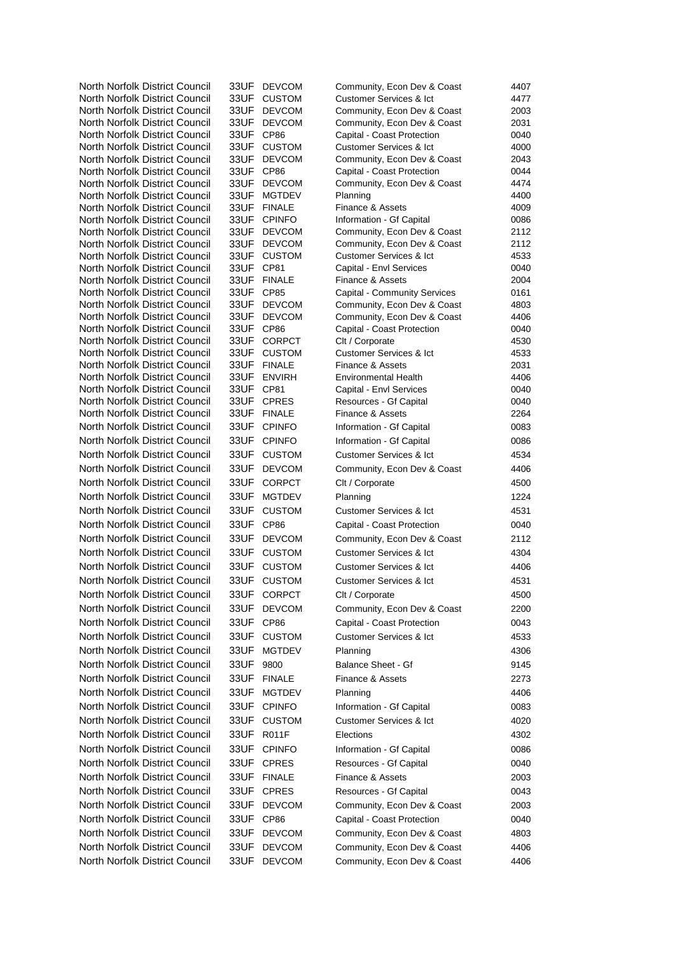| North Norfolk District Council | 33UF      | <b>DEVCOM</b>    | Community, Econ Dev & Coast        | 4407 |
|--------------------------------|-----------|------------------|------------------------------------|------|
| North Norfolk District Council | 33UF      | <b>CUSTOM</b>    | <b>Customer Services &amp; Ict</b> | 4477 |
| North Norfolk District Council | 33UF      | <b>DEVCOM</b>    | Community, Econ Dev & Coast        | 2003 |
| North Norfolk District Council | 33UF      | <b>DEVCOM</b>    | Community, Econ Dev & Coast        | 2031 |
| North Norfolk District Council | 33UF      | CP86             | Capital - Coast Protection         | 0040 |
| North Norfolk District Council | 33UF      | <b>CUSTOM</b>    | <b>Customer Services &amp; Ict</b> | 4000 |
| North Norfolk District Council | 33UF      | <b>DEVCOM</b>    | Community, Econ Dev & Coast        | 2043 |
| North Norfolk District Council | 33UF      | CP <sub>86</sub> | Capital - Coast Protection         | 0044 |
| North Norfolk District Council | 33UF      | <b>DEVCOM</b>    | Community, Econ Dev & Coast        | 4474 |
| North Norfolk District Council | 33UF      | <b>MGTDEV</b>    | Planning                           | 4400 |
| North Norfolk District Council |           | 33UF FINALE      | Finance & Assets                   | 4009 |
| North Norfolk District Council | 33UF      | <b>CPINFO</b>    | Information - Gf Capital           | 0086 |
| North Norfolk District Council | 33UF      | <b>DEVCOM</b>    | Community, Econ Dev & Coast        | 2112 |
| North Norfolk District Council | 33UF      | <b>DEVCOM</b>    | Community, Econ Dev & Coast        | 2112 |
| North Norfolk District Council |           | 33UF CUSTOM      | <b>Customer Services &amp; Ict</b> | 4533 |
| North Norfolk District Council | 33UF      | CP81             | Capital - Envl Services            | 0040 |
| North Norfolk District Council |           | 33UF FINALE      | Finance & Assets                   | 2004 |
| North Norfolk District Council | 33UF CP85 |                  | Capital - Community Services       | 0161 |
| North Norfolk District Council |           | 33UF DEVCOM      | Community, Econ Dev & Coast        | 4803 |
| North Norfolk District Council |           | 33UF DEVCOM      | Community, Econ Dev & Coast        | 4406 |
| North Norfolk District Council | 33UF CP86 |                  | Capital - Coast Protection         | 0040 |
| North Norfolk District Council |           | 33UF CORPCT      | Clt / Corporate                    | 4530 |
| North Norfolk District Council |           | 33UF CUSTOM      | Customer Services & Ict            | 4533 |
| North Norfolk District Council |           | 33UF FINALE      | Finance & Assets                   | 2031 |
| North Norfolk District Council | 33UF      | <b>ENVIRH</b>    | <b>Environmental Health</b>        | 4406 |
| North Norfolk District Council | 33UF CP81 |                  | Capital - Envl Services            | 0040 |
| North Norfolk District Council |           | 33UF CPRES       | Resources - Gf Capital             | 0040 |
| North Norfolk District Council |           | 33UF FINALE      | Finance & Assets                   | 2264 |
| North Norfolk District Council |           | 33UF CPINFO      | Information - Gf Capital           | 0083 |
| North Norfolk District Council | 33UF      | <b>CPINFO</b>    | Information - Gf Capital           | 0086 |
| North Norfolk District Council | 33UF      | <b>CUSTOM</b>    | <b>Customer Services &amp; Ict</b> | 4534 |
| North Norfolk District Council | 33UF      | <b>DEVCOM</b>    | Community, Econ Dev & Coast        | 4406 |
| North Norfolk District Council | 33UF      | <b>CORPCT</b>    | Clt / Corporate                    | 4500 |
| North Norfolk District Council | 33UF      | <b>MGTDEV</b>    | Planning                           | 1224 |
| North Norfolk District Council | 33UF      | <b>CUSTOM</b>    | <b>Customer Services &amp; Ict</b> | 4531 |
| North Norfolk District Council | 33UF      | <b>CP86</b>      | Capital - Coast Protection         | 0040 |
| North Norfolk District Council | 33UF      | <b>DEVCOM</b>    |                                    |      |
|                                |           |                  | Community, Econ Dev & Coast        | 2112 |
| North Norfolk District Council | 33UF      | <b>CUSTOM</b>    | Customer Services & Ict            | 4304 |
| North Norfolk District Council | 33UF      | <b>CUSTOM</b>    | <b>Customer Services &amp; Ict</b> | 4406 |
| North Norfolk District Council | 33UF      | <b>CUSTOM</b>    | <b>Customer Services &amp; Ict</b> | 4531 |
| North Norfolk District Council | 33UF      | <b>CORPCT</b>    | Clt / Corporate                    | 4500 |
| North Norfolk District Council |           | 33UF DEVCOM      | Community, Econ Dev & Coast        | 2200 |
| North Norfolk District Council | 33UF CP86 |                  | Capital - Coast Protection         | 0043 |
| North Norfolk District Council |           | 33UF CUSTOM      | <b>Customer Services &amp; Ict</b> | 4533 |
| North Norfolk District Council | 33UF      | <b>MGTDEV</b>    | Planning                           | 4306 |
| North Norfolk District Council | 33UF      |                  |                                    | 9145 |
|                                |           | 9800             | <b>Balance Sheet - Gf</b>          |      |
| North Norfolk District Council |           | 33UF FINALE      | Finance & Assets                   | 2273 |
| North Norfolk District Council | 33UF      | <b>MGTDEV</b>    | Planning                           | 4406 |
| North Norfolk District Council | 33UF      | <b>CPINFO</b>    | Information - Gf Capital           | 0083 |
| North Norfolk District Council | 33UF      | <b>CUSTOM</b>    | <b>Customer Services &amp; Ict</b> | 4020 |
| North Norfolk District Council | 33UF      | <b>R011F</b>     | Elections                          | 4302 |
| North Norfolk District Council | 33UF      | <b>CPINFO</b>    | Information - Gf Capital           | 0086 |
| North Norfolk District Council |           | 33UF CPRES       | Resources - Gf Capital             | 0040 |
| North Norfolk District Council |           | 33UF FINALE      | Finance & Assets                   | 2003 |
|                                |           |                  |                                    |      |
| North Norfolk District Council | 33UF      | <b>CPRES</b>     | Resources - Gf Capital             | 0043 |
| North Norfolk District Council | 33UF      | <b>DEVCOM</b>    | Community, Econ Dev & Coast        | 2003 |
| North Norfolk District Council | 33UF CP86 |                  | Capital - Coast Protection         | 0040 |
| North Norfolk District Council |           | 33UF DEVCOM      | Community, Econ Dev & Coast        | 4803 |
| North Norfolk District Council |           | 33UF DEVCOM      | Community, Econ Dev & Coast        | 4406 |
| North Norfolk District Council | 33UF      | <b>DEVCOM</b>    | Community, Econ Dev & Coast        | 4406 |
|                                |           |                  |                                    |      |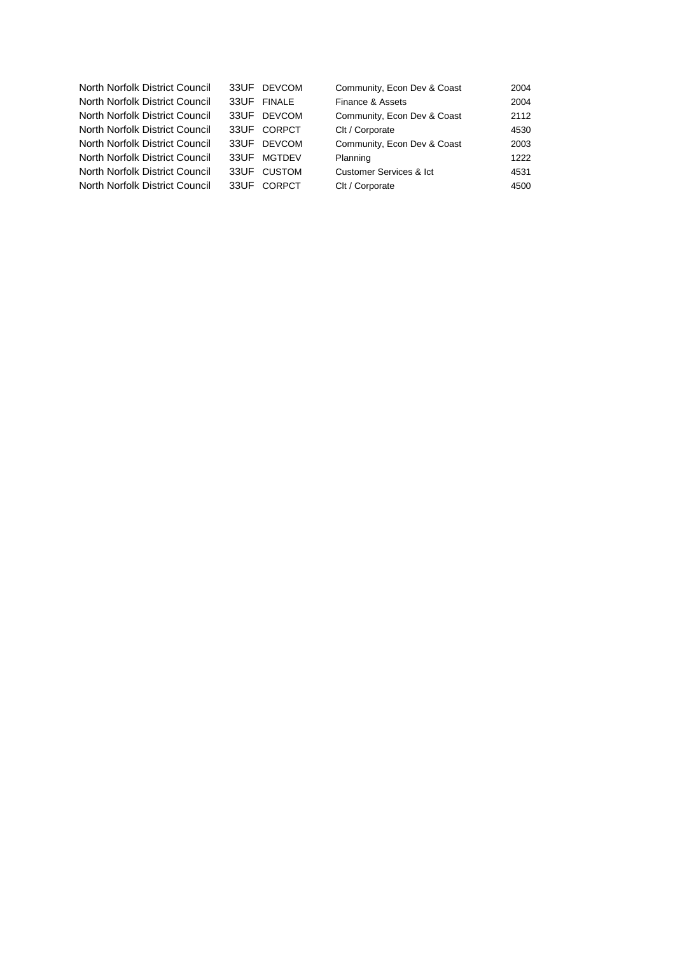| North Norfolk District Council |      | 33UF DEVCOM   | Community, Econ Dev & Coast | 2004 |
|--------------------------------|------|---------------|-----------------------------|------|
| North Norfolk District Council |      | 33UF FINALE   | Finance & Assets            | 2004 |
| North Norfolk District Council | 33UF | DEVCOM        | Community, Econ Dev & Coast | 2112 |
| North Norfolk District Council | 33UF | CORPCT        | Clt / Corporate             | 4530 |
| North Norfolk District Council | 33UF | <b>DEVCOM</b> | Community, Econ Dev & Coast | 2003 |
| North Norfolk District Council | 33UF | <b>MGTDEV</b> | Planning                    | 1222 |
| North Norfolk District Council | 33UF | CUSTOM        | Customer Services & Ict     | 4531 |
| North Norfolk District Council | 33UF | <b>CORPCT</b> | Clt / Corporate             | 4500 |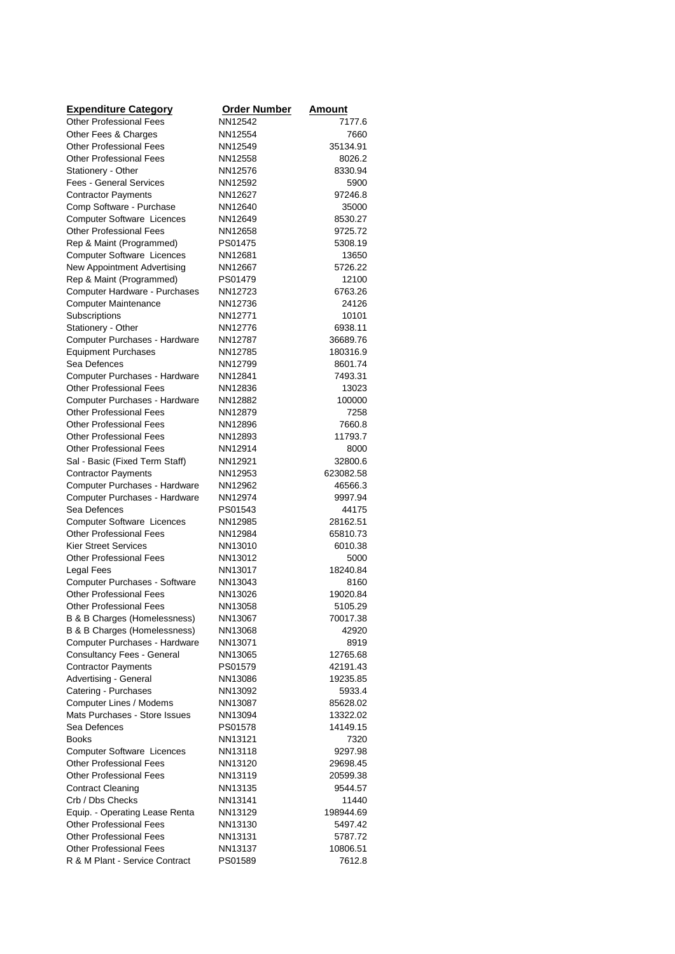| <b>Expenditure Category</b>                                   | <b>Order Number</b> | Amount             |
|---------------------------------------------------------------|---------------------|--------------------|
| <b>Other Professional Fees</b>                                | NN12542             | 7177.6             |
| Other Fees & Charges                                          | NN12554             | 7660               |
| <b>Other Professional Fees</b>                                | NN12549             | 35134.91           |
| <b>Other Professional Fees</b>                                | NN12558             | 8026.2             |
| Stationery - Other                                            | NN12576             | 8330.94            |
| <b>Fees - General Services</b>                                | NN12592             | 5900               |
| <b>Contractor Payments</b>                                    | NN12627             | 97246.8            |
| Comp Software - Purchase                                      | NN12640             | 35000              |
| <b>Computer Software Licences</b>                             | NN12649             | 8530.27            |
| <b>Other Professional Fees</b><br>Rep & Maint (Programmed)    | NN12658<br>PS01475  | 9725.72<br>5308.19 |
| Computer Software Licences                                    | NN12681             | 13650              |
| New Appointment Advertising                                   | NN12667             | 5726.22            |
| Rep & Maint (Programmed)                                      | PS01479             | 12100              |
| Computer Hardware - Purchases                                 | NN12723             | 6763.26            |
| <b>Computer Maintenance</b>                                   | NN12736             | 24126              |
| Subscriptions                                                 | NN12771             | 10101              |
| Stationery - Other                                            | NN12776             | 6938.11            |
| Computer Purchases - Hardware                                 | NN12787             | 36689.76           |
| <b>Equipment Purchases</b>                                    | NN12785             | 180316.9           |
| Sea Defences                                                  | NN12799             | 8601.74            |
| Computer Purchases - Hardware                                 | NN12841             | 7493.31            |
| <b>Other Professional Fees</b>                                | NN12836             | 13023              |
| Computer Purchases - Hardware                                 | NN12882             | 100000             |
| <b>Other Professional Fees</b>                                | NN12879             | 7258               |
| <b>Other Professional Fees</b>                                | NN12896             | 7660.8             |
| <b>Other Professional Fees</b>                                | NN12893             | 11793.7            |
| <b>Other Professional Fees</b>                                | NN12914             | 8000               |
| Sal - Basic (Fixed Term Staff)                                | NN12921             | 32800.6            |
| <b>Contractor Payments</b>                                    | NN12953             | 623082.58          |
| Computer Purchases - Hardware                                 | NN12962             | 46566.3            |
| Computer Purchases - Hardware                                 | NN12974             | 9997.94            |
| Sea Defences                                                  | PS01543             | 44175              |
| Computer Software Licences                                    | NN12985             | 28162.51           |
| <b>Other Professional Fees</b>                                | NN12984<br>NN13010  | 65810.73           |
| <b>Kier Street Services</b><br><b>Other Professional Fees</b> | NN13012             | 6010.38<br>5000    |
| Legal Fees                                                    | NN13017             | 18240.84           |
| Computer Purchases - Software                                 | NN13043             | 8160               |
| <b>Other Professional Fees</b>                                | NN13026             | 19020.84           |
| <b>Other Professional Fees</b>                                | NN13058             | 5105.29            |
| B & B Charges (Homelessness)                                  | NN13067             | 70017.38           |
| B & B Charges (Homelessness)                                  | NN13068             | 42920              |
| Computer Purchases - Hardware                                 | NN13071             | 8919               |
| Consultancy Fees - General                                    | NN13065             | 12765.68           |
| <b>Contractor Payments</b>                                    | PS01579             | 42191.43           |
| Advertising - General                                         | NN13086             | 19235.85           |
| Catering - Purchases                                          | NN13092             | 5933.4             |
| Computer Lines / Modems                                       | NN13087             | 85628.02           |
| Mats Purchases - Store Issues                                 | NN13094             | 13322.02           |
| Sea Defences                                                  | PS01578             | 14149.15           |
| <b>Books</b>                                                  | NN13121             | 7320               |
| <b>Computer Software Licences</b>                             | NN13118             | 9297.98            |
| <b>Other Professional Fees</b>                                | NN13120             | 29698.45           |
| <b>Other Professional Fees</b>                                | NN13119             | 20599.38           |
| <b>Contract Cleaning</b>                                      | NN13135             | 9544.57            |
| Crb / Dbs Checks                                              | NN13141             | 11440              |
| Equip. - Operating Lease Renta                                | NN13129             | 198944.69          |
| <b>Other Professional Fees</b>                                | NN13130             | 5497.42            |
| <b>Other Professional Fees</b>                                | NN13131             | 5787.72            |
| <b>Other Professional Fees</b>                                | NN13137             | 10806.51           |
| R & M Plant - Service Contract                                | PS01589             | 7612.8             |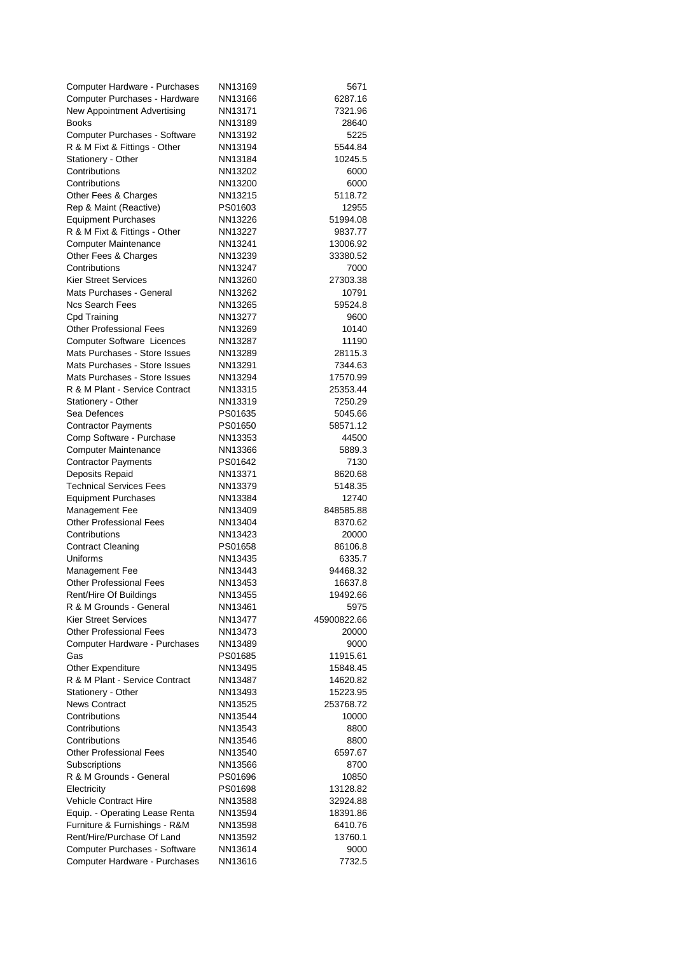| Computer Hardware - Purchases                                   | NN13169            | 5671                 |
|-----------------------------------------------------------------|--------------------|----------------------|
| Computer Purchases - Hardware                                   | NN13166            | 6287.16              |
| New Appointment Advertising                                     | NN13171            | 7321.96              |
| <b>Books</b>                                                    | NN13189            | 28640                |
| Computer Purchases - Software                                   | NN13192            | 5225                 |
| R & M Fixt & Fittings - Other                                   | NN13194            | 5544.84              |
| Stationery - Other                                              | NN13184            | 10245.5              |
| Contributions                                                   | NN13202            | 6000                 |
| Contributions                                                   | NN13200            | 6000                 |
| Other Fees & Charges                                            | NN13215            | 5118.72              |
| Rep & Maint (Reactive)                                          | PS01603            | 12955                |
| <b>Equipment Purchases</b>                                      | NN13226            | 51994.08             |
| R & M Fixt & Fittings - Other                                   | NN13227            | 9837.77              |
| <b>Computer Maintenance</b>                                     | NN13241            | 13006.92             |
| Other Fees & Charges                                            | NN13239            | 33380.52             |
| Contributions                                                   | NN13247            | 7000                 |
| <b>Kier Street Services</b>                                     | NN13260            | 27303.38             |
| Mats Purchases - General                                        | NN13262            | 10791                |
| <b>Ncs Search Fees</b>                                          | NN13265            | 59524.8              |
| Cpd Training                                                    | NN13277            | 9600                 |
| <b>Other Professional Fees</b>                                  | NN13269            | 10140                |
| <b>Computer Software Licences</b>                               | NN13287            | 11190                |
| Mats Purchases - Store Issues<br>Mats Purchases - Store Issues  | NN13289<br>NN13291 | 28115.3              |
| Mats Purchases - Store Issues                                   |                    | 7344.63<br>17570.99  |
| R & M Plant - Service Contract                                  | NN13294<br>NN13315 | 25353.44             |
| Stationery - Other                                              | NN13319            | 7250.29              |
| Sea Defences                                                    | PS01635            | 5045.66              |
| <b>Contractor Payments</b>                                      | PS01650            | 58571.12             |
| Comp Software - Purchase                                        | NN13353            | 44500                |
| <b>Computer Maintenance</b>                                     | NN13366            | 5889.3               |
| <b>Contractor Payments</b>                                      | PS01642            | 7130                 |
| Deposits Repaid                                                 | NN13371            | 8620.68              |
| <b>Technical Services Fees</b>                                  | NN13379            | 5148.35              |
| <b>Equipment Purchases</b>                                      | NN13384            | 12740                |
| Management Fee                                                  | NN13409            | 848585.88            |
| <b>Other Professional Fees</b>                                  | NN13404            | 8370.62              |
| Contributions                                                   | NN13423            | 20000                |
| <b>Contract Cleaning</b>                                        | PS01658            | 86106.8              |
| Uniforms                                                        | NN13435            | 6335.7               |
| Management Fee                                                  | NN13443            | 94468.32             |
| <b>Other Professional Fees</b>                                  | NN13453            | 16637.8              |
| Rent/Hire Of Buildings                                          | NN13455            | 19492.66             |
| R & M Grounds - General                                         | NN13461            | 5975                 |
| <b>Kier Street Services</b>                                     | NN13477            | 45900822.66          |
| <b>Other Professional Fees</b>                                  | NN13473            | 20000                |
| Computer Hardware - Purchases                                   | NN13489            | 9000                 |
| Gas                                                             | PS01685            | 11915.61             |
| Other Expenditure                                               | NN13495            | 15848.45             |
| R & M Plant - Service Contract                                  | NN13487            | 14620.82             |
| Stationery - Other                                              | NN13493            | 15223.95             |
| <b>News Contract</b>                                            | NN13525            | 253768.72            |
| Contributions                                                   | NN13544            | 10000                |
| Contributions                                                   | NN13543            | 8800                 |
| Contributions                                                   | NN13546            | 8800                 |
| <b>Other Professional Fees</b>                                  | NN13540            | 6597.67              |
| Subscriptions                                                   | NN13566            | 8700                 |
| R & M Grounds - General                                         | PS01696            | 10850                |
| Electricity                                                     | PS01698            | 13128.82             |
| Vehicle Contract Hire                                           | NN13588<br>NN13594 | 32924.88<br>18391.86 |
| Equip. - Operating Lease Renta<br>Furniture & Furnishings - R&M | NN13598            | 6410.76              |
| Rent/Hire/Purchase Of Land                                      | NN13592            | 13760.1              |
| Computer Purchases - Software                                   | NN13614            | 9000                 |
| Computer Hardware - Purchases                                   | NN13616            | 7732.5               |
|                                                                 |                    |                      |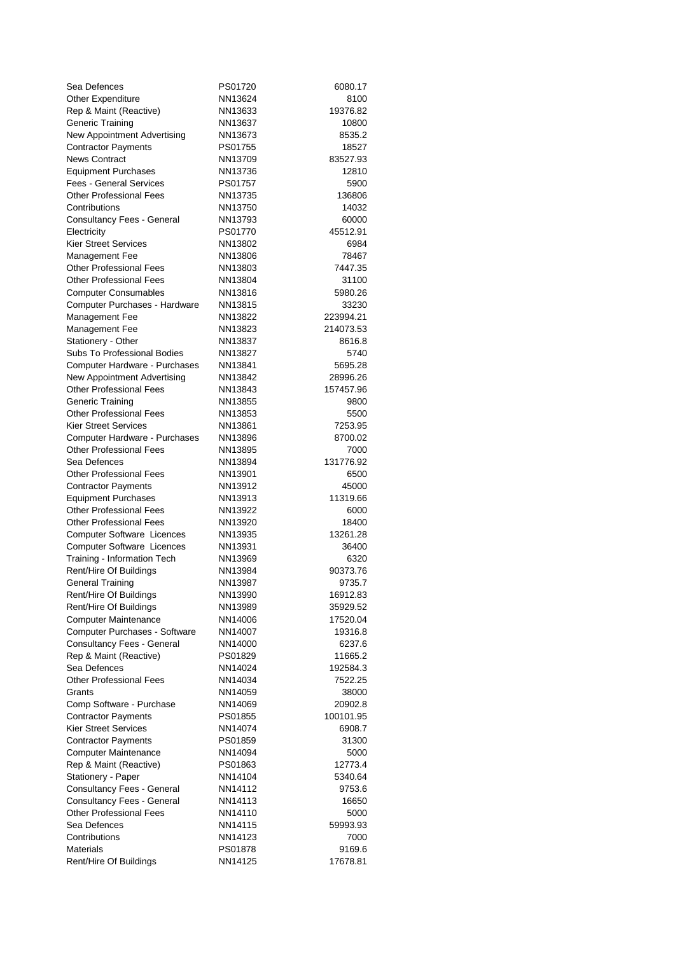| Sea Defences                                     | PS01720            | 6080.17          |
|--------------------------------------------------|--------------------|------------------|
| <b>Other Expenditure</b>                         | NN13624            | 8100             |
| Rep & Maint (Reactive)                           | NN13633            | 19376.82         |
| <b>Generic Training</b>                          | NN13637            | 10800            |
| New Appointment Advertising                      | NN13673            | 8535.2           |
| <b>Contractor Payments</b>                       | PS01755            | 18527            |
| <b>News Contract</b>                             | NN13709            | 83527.93         |
| <b>Equipment Purchases</b>                       | NN13736            | 12810            |
| <b>Fees - General Services</b>                   | PS01757            | 5900             |
| <b>Other Professional Fees</b>                   | NN13735            | 136806           |
| Contributions                                    | NN13750            | 14032            |
| <b>Consultancy Fees - General</b>                | NN13793            | 60000            |
| Electricity<br><b>Kier Street Services</b>       | PS01770            | 45512.91         |
|                                                  | NN13802            | 6984             |
| Management Fee<br><b>Other Professional Fees</b> | NN13806<br>NN13803 | 78467<br>7447.35 |
| <b>Other Professional Fees</b>                   | NN13804            | 31100            |
| <b>Computer Consumables</b>                      | NN13816            | 5980.26          |
| Computer Purchases - Hardware                    | NN13815            | 33230            |
| Management Fee                                   | NN13822            | 223994.21        |
| Management Fee                                   | NN13823            | 214073.53        |
| Stationery - Other                               | NN13837            | 8616.8           |
| Subs To Professional Bodies                      | NN13827            | 5740             |
| Computer Hardware - Purchases                    | NN13841            | 5695.28          |
| New Appointment Advertising                      | NN13842            | 28996.26         |
| <b>Other Professional Fees</b>                   | NN13843            | 157457.96        |
| <b>Generic Training</b>                          | NN13855            | 9800             |
| <b>Other Professional Fees</b>                   | NN13853            | 5500             |
| <b>Kier Street Services</b>                      | NN13861            | 7253.95          |
| Computer Hardware - Purchases                    | NN13896            | 8700.02          |
| <b>Other Professional Fees</b>                   | NN13895            | 7000             |
| Sea Defences                                     | NN13894            | 131776.92        |
| <b>Other Professional Fees</b>                   | NN13901            | 6500             |
| <b>Contractor Payments</b>                       | NN13912            | 45000            |
| <b>Equipment Purchases</b>                       | NN13913            | 11319.66         |
| <b>Other Professional Fees</b>                   | NN13922            | 6000             |
| <b>Other Professional Fees</b>                   | NN13920            | 18400            |
| <b>Computer Software Licences</b>                | NN13935            | 13261.28         |
| <b>Computer Software Licences</b>                | NN13931            | 36400            |
| Training - Information Tech                      | NN13969            | 6320             |
| Rent/Hire Of Buildings                           | NN13984            | 90373.76         |
| <b>General Training</b>                          | NN13987            | 9735.7           |
| Rent/Hire Of Buildings                           | NN13990            | 16912.83         |
| Rent/Hire Of Buildings                           | NN13989            | 35929.52         |
| <b>Computer Maintenance</b>                      | NN14006            | 17520.04         |
| Computer Purchases - Software                    | NN14007            | 19316.8          |
| Consultancy Fees - General                       | NN14000            | 6237.6           |
| Rep & Maint (Reactive)<br>Sea Defences           | PS01829            | 11665.2          |
| <b>Other Professional Fees</b>                   | NN14024<br>NN14034 | 192584.3         |
| Grants                                           | NN14059            | 7522.25<br>38000 |
| Comp Software - Purchase                         | NN14069            | 20902.8          |
| <b>Contractor Payments</b>                       | PS01855            | 100101.95        |
| <b>Kier Street Services</b>                      | NN14074            | 6908.7           |
| <b>Contractor Payments</b>                       | PS01859            | 31300            |
| <b>Computer Maintenance</b>                      | NN14094            | 5000             |
| Rep & Maint (Reactive)                           | PS01863            | 12773.4          |
| Stationery - Paper                               | NN14104            | 5340.64          |
| <b>Consultancy Fees - General</b>                | NN14112            | 9753.6           |
| Consultancy Fees - General                       | NN14113            | 16650            |
| <b>Other Professional Fees</b>                   | NN14110            | 5000             |
| Sea Defences                                     | NN14115            | 59993.93         |
| Contributions                                    | NN14123            | 7000             |
| <b>Materials</b>                                 | PS01878            | 9169.6           |
| Rent/Hire Of Buildings                           | NN14125            | 17678.81         |
|                                                  |                    |                  |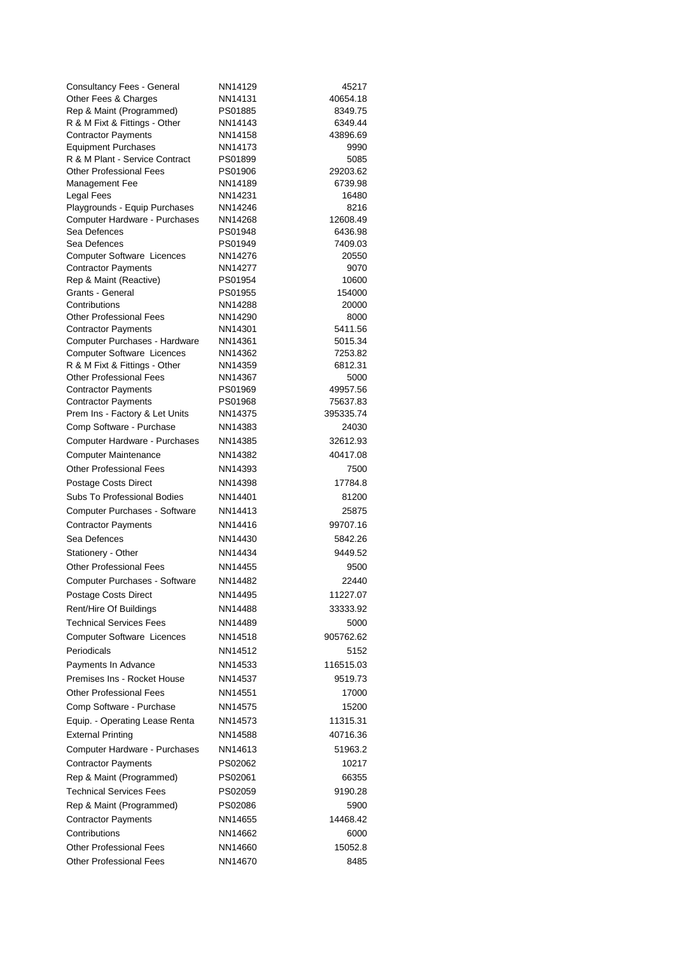| <b>Consultancy Fees - General</b>                                  | NN14129            | 45217               |
|--------------------------------------------------------------------|--------------------|---------------------|
| Other Fees & Charges                                               | NN14131            | 40654.18            |
| Rep & Maint (Programmed)                                           | PS01885            | 8349.75             |
| R & M Fixt & Fittings - Other                                      | NN14143            | 6349.44             |
| <b>Contractor Payments</b>                                         | NN14158            | 43896.69            |
| <b>Equipment Purchases</b>                                         | NN14173            | 9990                |
| R & M Plant - Service Contract                                     | PS01899            | 5085                |
| <b>Other Professional Fees</b>                                     | PS01906<br>NN14189 | 29203.62<br>6739.98 |
| Management Fee<br>Legal Fees                                       | NN14231            | 16480               |
| Playgrounds - Equip Purchases                                      | NN14246            | 8216                |
| Computer Hardware - Purchases                                      | NN14268            | 12608.49            |
| Sea Defences                                                       | PS01948            | 6436.98             |
| Sea Defences                                                       | PS01949            | 7409.03             |
| <b>Computer Software Licences</b>                                  | NN14276            | 20550               |
| <b>Contractor Payments</b>                                         | NN14277            | 9070                |
| Rep & Maint (Reactive)                                             | PS01954            | 10600               |
| Grants - General                                                   | PS01955            | 154000              |
| Contributions                                                      | NN14288            | 20000               |
| <b>Other Professional Fees</b>                                     | NN14290            | 8000                |
| <b>Contractor Payments</b>                                         | NN14301<br>NN14361 | 5411.56<br>5015.34  |
| Computer Purchases - Hardware<br><b>Computer Software Licences</b> | NN14362            | 7253.82             |
| R & M Fixt & Fittings - Other                                      | NN14359            | 6812.31             |
| <b>Other Professional Fees</b>                                     | NN14367            | 5000                |
| <b>Contractor Payments</b>                                         | PS01969            | 49957.56            |
| <b>Contractor Payments</b>                                         | PS01968            | 75637.83            |
| Prem Ins - Factory & Let Units                                     | NN14375            | 395335.74           |
| Comp Software - Purchase                                           | NN14383            | 24030               |
| Computer Hardware - Purchases                                      | NN14385            | 32612.93            |
| <b>Computer Maintenance</b>                                        | NN14382            | 40417.08            |
| <b>Other Professional Fees</b>                                     | NN14393            | 7500                |
| Postage Costs Direct                                               | NN14398            | 17784.8             |
| Subs To Professional Bodies                                        | NN14401            | 81200               |
| Computer Purchases - Software                                      | NN14413            | 25875               |
| <b>Contractor Payments</b>                                         | NN14416            | 99707.16            |
| Sea Defences                                                       | NN14430            | 5842.26             |
| Stationery - Other                                                 | NN14434            | 9449.52             |
| <b>Other Professional Fees</b>                                     | NN14455            | 9500                |
| Computer Purchases - Software                                      | NN14482            | 22440               |
| Postage Costs Direct                                               | NN14495            | 11227.07            |
| Rent/Hire Of Buildings                                             | NN14488            | 33333.92            |
| <b>Technical Services Fees</b>                                     | NN14489            | 5000                |
| <b>Computer Software Licences</b>                                  | NN14518            | 905762.62           |
| Periodicals                                                        | NN14512            | 5152                |
| Payments In Advance                                                | NN14533            | 116515.03           |
| Premises Ins - Rocket House                                        | NN14537            | 9519.73             |
| <b>Other Professional Fees</b>                                     | NN14551            | 17000               |
| Comp Software - Purchase                                           | NN14575            | 15200               |
| Equip. - Operating Lease Renta                                     | NN14573            | 11315.31            |
| <b>External Printing</b>                                           | NN14588            | 40716.36            |
| Computer Hardware - Purchases                                      | NN14613            | 51963.2             |
| <b>Contractor Payments</b>                                         | PS02062            | 10217               |
| Rep & Maint (Programmed)                                           | PS02061            | 66355               |
|                                                                    |                    |                     |
| <b>Technical Services Fees</b>                                     | PS02059            | 9190.28             |
| Rep & Maint (Programmed)                                           | PS02086            | 5900                |
| <b>Contractor Payments</b>                                         | NN14655            | 14468.42            |
| Contributions                                                      | NN14662            | 6000                |
| <b>Other Professional Fees</b>                                     | NN14660            | 15052.8             |
| <b>Other Professional Fees</b>                                     | NN14670            | 8485                |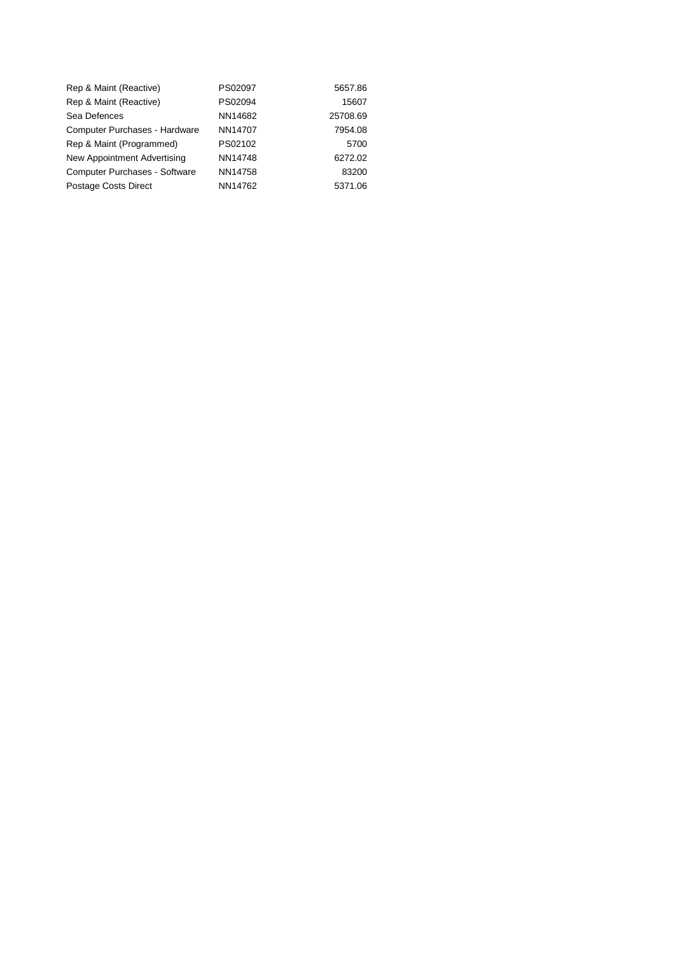| Rep & Maint (Reactive)               | PS02097 | 5657.86  |
|--------------------------------------|---------|----------|
| Rep & Maint (Reactive)               | PS02094 | 15607    |
| Sea Defences                         | NN14682 | 25708.69 |
| <b>Computer Purchases - Hardware</b> | NN14707 | 7954.08  |
| Rep & Maint (Programmed)             | PS02102 | 5700     |
| New Appointment Advertising          | NN14748 | 6272.02  |
| <b>Computer Purchases - Software</b> | NN14758 | 83200    |
| <b>Postage Costs Direct</b>          | NN14762 | 5371.06  |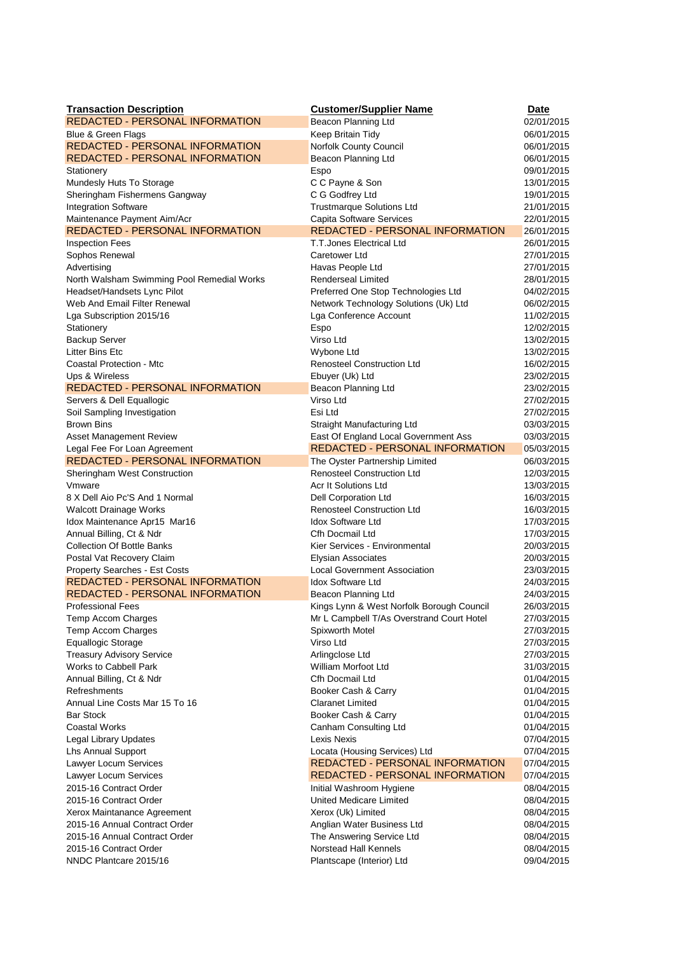| <b>Transaction Description</b>                     | <b>Customer/Supplier Name</b>                  | <b>Date</b>              |
|----------------------------------------------------|------------------------------------------------|--------------------------|
| <b>REDACTED - PERSONAL INFORMATION</b>             | Beacon Planning Ltd                            | 02/01/2015               |
| Blue & Green Flags                                 | Keep Britain Tidy                              | 06/01/2015               |
| <b>REDACTED - PERSONAL INFORMATION</b>             | Norfolk County Council                         | 06/01/2015               |
| <b>REDACTED - PERSONAL INFORMATION</b>             | Beacon Planning Ltd                            | 06/01/2015               |
| Stationery                                         | Espo                                           | 09/01/2015               |
| Mundesly Huts To Storage                           | C C Payne & Son                                | 13/01/2015               |
| Sheringham Fishermens Gangway                      | C G Godfrey Ltd                                | 19/01/2015               |
| <b>Integration Software</b>                        | <b>Trustmarque Solutions Ltd</b>               | 21/01/2015               |
| Maintenance Payment Aim/Acr                        | <b>Capita Software Services</b>                | 22/01/2015               |
| <b>REDACTED - PERSONAL INFORMATION</b>             | <b>REDACTED - PERSONAL INFORMATION</b>         | 26/01/2015               |
| <b>Inspection Fees</b>                             | <b>T.T.Jones Electrical Ltd</b>                | 26/01/2015               |
| Sophos Renewal                                     | Caretower Ltd                                  | 27/01/2015               |
| Advertising                                        | Havas People Ltd                               | 27/01/2015               |
| North Walsham Swimming Pool Remedial Works         | <b>Renderseal Limited</b>                      | 28/01/2015               |
| Headset/Handsets Lync Pilot                        | Preferred One Stop Technologies Ltd            | 04/02/2015               |
| Web And Email Filter Renewal                       | Network Technology Solutions (Uk) Ltd          | 06/02/2015               |
| Lga Subscription 2015/16<br>Stationery             | Lga Conference Account<br>Espo                 | 11/02/2015<br>12/02/2015 |
| <b>Backup Server</b>                               | Virso Ltd                                      | 13/02/2015               |
| <b>Litter Bins Etc.</b>                            | Wybone Ltd                                     | 13/02/2015               |
| Coastal Protection - Mtc                           | <b>Renosteel Construction Ltd</b>              | 16/02/2015               |
| Ups & Wireless                                     | Ebuyer (Uk) Ltd                                | 23/02/2015               |
| <b>REDACTED - PERSONAL INFORMATION</b>             | Beacon Planning Ltd                            | 23/02/2015               |
| Servers & Dell Equallogic                          | Virso Ltd                                      | 27/02/2015               |
| Soil Sampling Investigation                        | Esi Ltd                                        | 27/02/2015               |
| <b>Brown Bins</b>                                  | Straight Manufacturing Ltd                     | 03/03/2015               |
| Asset Management Review                            | East Of England Local Government Ass           | 03/03/2015               |
| Legal Fee For Loan Agreement                       | <b>REDACTED - PERSONAL INFORMATION</b>         | 05/03/2015               |
| REDACTED - PERSONAL INFORMATION                    | The Oyster Partnership Limited                 | 06/03/2015               |
| Sheringham West Construction                       | <b>Renosteel Construction Ltd</b>              | 12/03/2015               |
| Vmware                                             | Acr It Solutions Ltd                           | 13/03/2015               |
| 8 X Dell Aio Pc'S And 1 Normal                     | Dell Corporation Ltd                           | 16/03/2015               |
| <b>Walcott Drainage Works</b>                      | <b>Renosteel Construction Ltd</b>              | 16/03/2015               |
| Idox Maintenance Apr15 Mar16                       | <b>Idox Software Ltd</b>                       | 17/03/2015               |
| Annual Billing, Ct & Ndr                           | Cfh Docmail Ltd                                | 17/03/2015               |
| <b>Collection Of Bottle Banks</b>                  | Kier Services - Environmental                  | 20/03/2015               |
| Postal Vat Recovery Claim                          | Elysian Associates                             | 20/03/2015               |
| Property Searches - Est Costs                      | <b>Local Government Association</b>            | 23/03/2015               |
| <b>REDACTED - PERSONAL INFORMATION</b>             | <b>Idox Software Ltd</b>                       | 24/03/2015               |
| <b>REDACTED - PERSONAL INFORMATION</b>             | Beacon Planning Ltd                            | 24/03/2015               |
| <b>Professional Fees</b>                           | Kings Lynn & West Norfolk Borough Council      | 26/03/2015               |
| Temp Accom Charges                                 | Mr L Campbell T/As Overstrand Court Hotel      | 27/03/2015               |
| Temp Accom Charges                                 | Spixworth Motel                                | 27/03/2015               |
| <b>Equallogic Storage</b>                          | Virso Ltd                                      | 27/03/2015               |
| <b>Treasury Advisory Service</b>                   | Arlingclose Ltd                                | 27/03/2015               |
| Works to Cabbell Park                              | William Morfoot Ltd                            | 31/03/2015               |
| Annual Billing, Ct & Ndr                           | Cfh Docmail Ltd                                | 01/04/2015               |
| Refreshments                                       | Booker Cash & Carry<br><b>Claranet Limited</b> | 01/04/2015               |
| Annual Line Costs Mar 15 To 16<br><b>Bar Stock</b> | Booker Cash & Carry                            | 01/04/2015<br>01/04/2015 |
| <b>Coastal Works</b>                               | Canham Consulting Ltd                          | 01/04/2015               |
| <b>Legal Library Updates</b>                       | Lexis Nexis                                    | 07/04/2015               |
| <b>Lhs Annual Support</b>                          | Locata (Housing Services) Ltd                  | 07/04/2015               |
| Lawyer Locum Services                              | <b>REDACTED - PERSONAL INFORMATION</b>         | 07/04/2015               |
| Lawyer Locum Services                              | <b>REDACTED - PERSONAL INFORMATION</b>         | 07/04/2015               |
| 2015-16 Contract Order                             | Initial Washroom Hygiene                       | 08/04/2015               |
| 2015-16 Contract Order                             | United Medicare Limited                        | 08/04/2015               |
| Xerox Maintanance Agreement                        | Xerox (Uk) Limited                             | 08/04/2015               |
| 2015-16 Annual Contract Order                      | Anglian Water Business Ltd                     | 08/04/2015               |
| 2015-16 Annual Contract Order                      | The Answering Service Ltd                      | 08/04/2015               |
| 2015-16 Contract Order                             | Norstead Hall Kennels                          | 08/04/2015               |
| NNDC Plantcare 2015/16                             | Plantscape (Interior) Ltd                      | 09/04/2015               |
|                                                    |                                                |                          |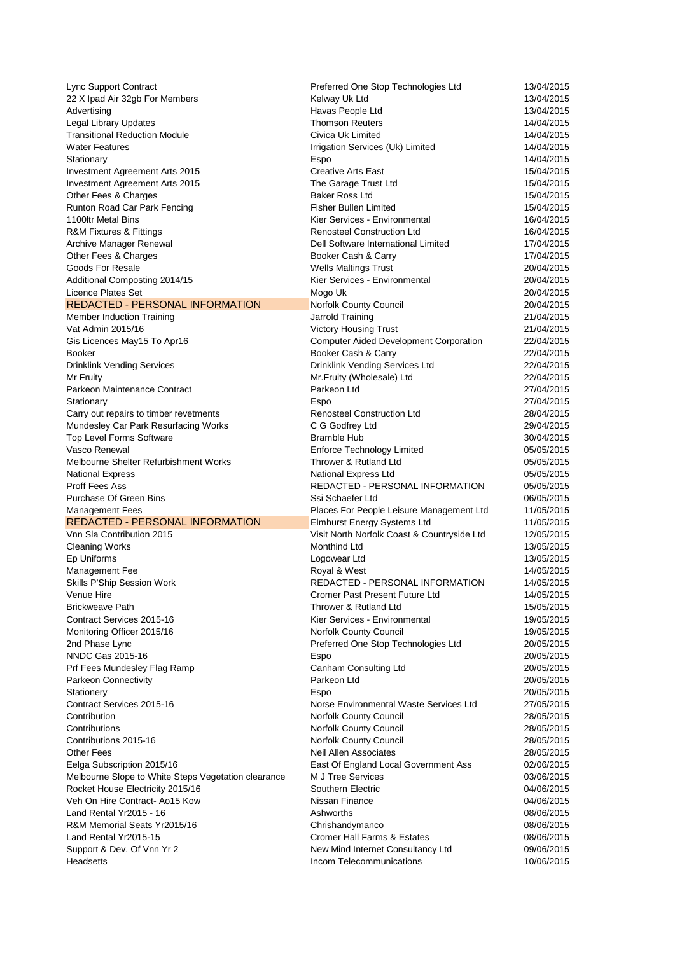| Lync Support Contract                                                                   | Preferred One Stop Technologies Ltd                           | 13/04/2015               |
|-----------------------------------------------------------------------------------------|---------------------------------------------------------------|--------------------------|
| 22 X Ipad Air 32gb For Members                                                          | Kelway Uk Ltd                                                 | 13/04/2015               |
| Advertising                                                                             | Havas People Ltd                                              | 13/04/2015               |
| <b>Legal Library Updates</b>                                                            | <b>Thomson Reuters</b>                                        | 14/04/2015               |
| <b>Transitional Reduction Module</b>                                                    | Civica Uk Limited                                             | 14/04/2015               |
| <b>Water Features</b>                                                                   | Irrigation Services (Uk) Limited                              | 14/04/2015               |
| Stationary                                                                              | Espo                                                          | 14/04/2015               |
|                                                                                         |                                                               |                          |
| Investment Agreement Arts 2015                                                          | <b>Creative Arts East</b>                                     | 15/04/2015               |
| Investment Agreement Arts 2015                                                          | The Garage Trust Ltd                                          | 15/04/2015               |
| Other Fees & Charges                                                                    | <b>Baker Ross Ltd</b>                                         | 15/04/2015               |
| Runton Road Car Park Fencing                                                            | <b>Fisher Bullen Limited</b>                                  | 15/04/2015               |
| 1100ltr Metal Bins                                                                      | Kier Services - Environmental                                 | 16/04/2015               |
| R&M Fixtures & Fittings                                                                 | <b>Renosteel Construction Ltd</b>                             | 16/04/2015               |
| Archive Manager Renewal                                                                 | Dell Software International Limited                           | 17/04/2015               |
| Other Fees & Charges                                                                    | Booker Cash & Carry                                           | 17/04/2015               |
| Goods For Resale                                                                        | <b>Wells Maltings Trust</b>                                   | 20/04/2015               |
| Additional Composting 2014/15                                                           | Kier Services - Environmental                                 | 20/04/2015               |
| Licence Plates Set                                                                      | Mogo Uk                                                       | 20/04/2015               |
| <b>REDACTED - PERSONAL INFORMATION</b>                                                  |                                                               |                          |
|                                                                                         | Norfolk County Council                                        | 20/04/2015               |
| <b>Member Induction Training</b>                                                        | Jarrold Training                                              | 21/04/2015               |
| Vat Admin 2015/16                                                                       | <b>Victory Housing Trust</b>                                  | 21/04/2015               |
| Gis Licences May15 To Apr16                                                             | <b>Computer Aided Development Corporation</b>                 | 22/04/2015               |
| <b>Booker</b>                                                                           | Booker Cash & Carry                                           | 22/04/2015               |
| <b>Drinklink Vending Services</b>                                                       | Drinklink Vending Services Ltd                                | 22/04/2015               |
| Mr Fruity                                                                               | Mr.Fruity (Wholesale) Ltd                                     | 22/04/2015               |
| Parkeon Maintenance Contract                                                            | Parkeon Ltd                                                   | 27/04/2015               |
| Stationary                                                                              | Espo                                                          | 27/04/2015               |
| Carry out repairs to timber revetments                                                  | <b>Renosteel Construction Ltd</b>                             | 28/04/2015               |
|                                                                                         |                                                               |                          |
| Mundesley Car Park Resurfacing Works                                                    | C G Godfrey Ltd                                               | 29/04/2015               |
| Top Level Forms Software                                                                | <b>Bramble Hub</b>                                            | 30/04/2015               |
| Vasco Renewal                                                                           | <b>Enforce Technology Limited</b>                             | 05/05/2015               |
| Melbourne Shelter Refurbishment Works                                                   | Thrower & Rutland Ltd                                         | 05/05/2015               |
|                                                                                         |                                                               |                          |
| <b>National Express</b>                                                                 | National Express Ltd                                          | 05/05/2015               |
| <b>Proff Fees Ass</b>                                                                   | REDACTED - PERSONAL INFORMATION                               | 05/05/2015               |
| Purchase Of Green Bins                                                                  | Ssi Schaefer Ltd                                              | 06/05/2015               |
| <b>Management Fees</b>                                                                  |                                                               | 11/05/2015               |
|                                                                                         | Places For People Leisure Management Ltd                      |                          |
| <b>REDACTED - PERSONAL INFORMATION</b>                                                  | <b>Elmhurst Energy Systems Ltd</b>                            | 11/05/2015               |
| Vnn Sla Contribution 2015                                                               | Visit North Norfolk Coast & Countryside Ltd                   | 12/05/2015               |
| <b>Cleaning Works</b>                                                                   | Monthind Ltd                                                  | 13/05/2015               |
| Ep Uniforms                                                                             | Logowear Ltd                                                  | 13/05/2015               |
| Management Fee                                                                          | Royal & West                                                  | 14/05/2015               |
| Skills P'Ship Session Work                                                              | REDACTED - PERSONAL INFORMATION                               | 14/05/2015               |
| Venue Hire                                                                              | Cromer Past Present Future Ltd                                | 14/05/2015               |
| <b>Brickweave Path</b>                                                                  | Thrower & Rutland Ltd                                         | 15/05/2015               |
| Contract Services 2015-16                                                               | Kier Services - Environmental                                 | 19/05/2015               |
| Monitoring Officer 2015/16                                                              | Norfolk County Council                                        | 19/05/2015               |
| 2nd Phase Lync                                                                          |                                                               | 20/05/2015               |
|                                                                                         | Preferred One Stop Technologies Ltd                           |                          |
| NNDC Gas 2015-16                                                                        | Espo                                                          | 20/05/2015               |
| Prf Fees Mundesley Flag Ramp                                                            | Canham Consulting Ltd                                         | 20/05/2015               |
| Parkeon Connectivity                                                                    | Parkeon Ltd                                                   | 20/05/2015               |
| Stationery                                                                              | Espo                                                          | 20/05/2015               |
| Contract Services 2015-16                                                               | Norse Environmental Waste Services Ltd                        | 27/05/2015               |
| Contribution                                                                            | Norfolk County Council                                        | 28/05/2015               |
| Contributions                                                                           | Norfolk County Council                                        | 28/05/2015               |
| Contributions 2015-16                                                                   | Norfolk County Council                                        | 28/05/2015               |
| <b>Other Fees</b>                                                                       | <b>Neil Allen Associates</b>                                  | 28/05/2015               |
| Eelga Subscription 2015/16                                                              | East Of England Local Government Ass                          | 02/06/2015               |
|                                                                                         | M J Tree Services                                             | 03/06/2015               |
| Melbourne Slope to White Steps Vegetation clearance<br>Rocket House Electricity 2015/16 | Southern Electric                                             | 04/06/2015               |
|                                                                                         |                                                               |                          |
| Veh On Hire Contract- Ao15 Kow                                                          | Nissan Finance                                                | 04/06/2015               |
| Land Rental Yr2015 - 16                                                                 | Ashworths                                                     | 08/06/2015               |
| R&M Memorial Seats Yr2015/16                                                            | Chrishandymanco                                               | 08/06/2015               |
| Land Rental Yr2015-15                                                                   | Cromer Hall Farms & Estates                                   | 08/06/2015               |
| Support & Dev. Of Vnn Yr 2<br><b>Headsetts</b>                                          | New Mind Internet Consultancy Ltd<br>Incom Telecommunications | 09/06/2015<br>10/06/2015 |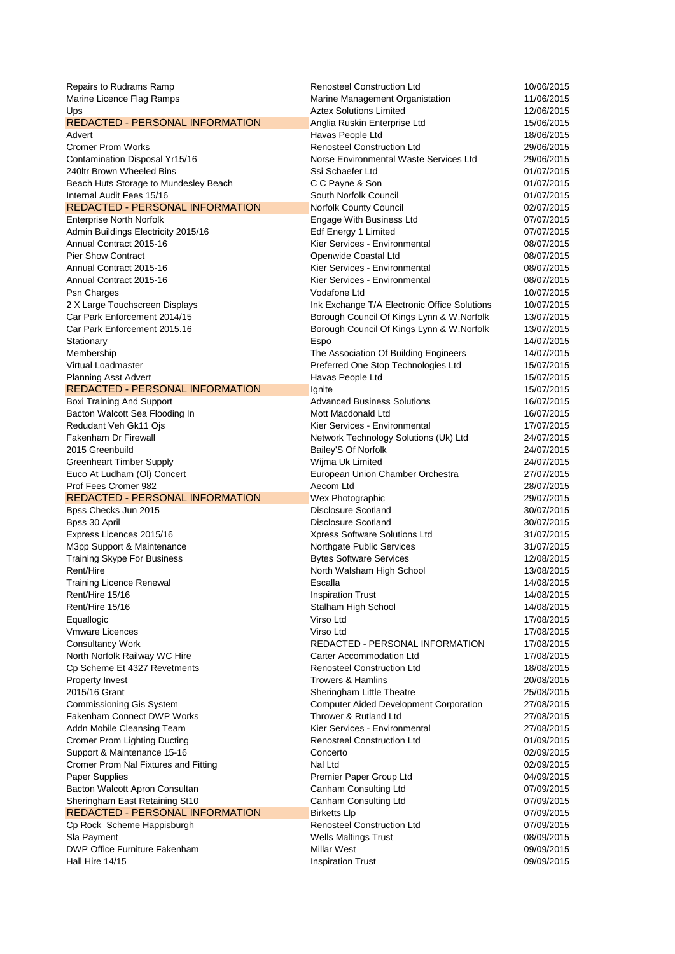| Repairs to Rudrams Ramp                          | <b>Renosteel Construction Ltd</b>                | 10/06/2015               |
|--------------------------------------------------|--------------------------------------------------|--------------------------|
| Marine Licence Flag Ramps                        | Marine Management Organistation                  | 11/06/2015               |
| Ups                                              | <b>Aztex Solutions Limited</b>                   | 12/06/2015               |
| <b>REDACTED - PERSONAL INFORMATION</b>           | Anglia Ruskin Enterprise Ltd                     | 15/06/2015               |
| Advert                                           | Havas People Ltd                                 | 18/06/2015               |
| <b>Cromer Prom Works</b>                         | <b>Renosteel Construction Ltd</b>                | 29/06/2015               |
| Contamination Disposal Yr15/16                   | Norse Environmental Waste Services Ltd           | 29/06/2015               |
| 240ltr Brown Wheeled Bins                        | Ssi Schaefer Ltd                                 | 01/07/2015               |
| Beach Huts Storage to Mundesley Beach            | C C Payne & Son                                  | 01/07/2015               |
| Internal Audit Fees 15/16                        | South Norfolk Council                            | 01/07/2015               |
| <b>REDACTED - PERSONAL INFORMATION</b>           | Norfolk County Council                           | 02/07/2015               |
| <b>Enterprise North Norfolk</b>                  | Engage With Business Ltd                         | 07/07/2015               |
| Admin Buildings Electricity 2015/16              | Edf Energy 1 Limited                             | 07/07/2015               |
| Annual Contract 2015-16                          | Kier Services - Environmental                    | 08/07/2015               |
| <b>Pier Show Contract</b>                        | Openwide Coastal Ltd                             | 08/07/2015               |
| Annual Contract 2015-16                          | Kier Services - Environmental                    | 08/07/2015               |
| Annual Contract 2015-16                          | Kier Services - Environmental                    | 08/07/2015               |
| Psn Charges                                      | Vodafone Ltd                                     | 10/07/2015               |
| 2 X Large Touchscreen Displays                   | Ink Exchange T/A Electronic Office Solutions     | 10/07/2015               |
| Car Park Enforcement 2014/15                     | Borough Council Of Kings Lynn & W.Norfolk        | 13/07/2015               |
| Car Park Enforcement 2015.16                     | Borough Council Of Kings Lynn & W.Norfolk        | 13/07/2015               |
| Stationary                                       | Espo                                             | 14/07/2015               |
| Membership                                       | The Association Of Building Engineers            | 14/07/2015               |
| Virtual Loadmaster                               | Preferred One Stop Technologies Ltd              | 15/07/2015               |
| <b>Planning Asst Advert</b>                      | Havas People Ltd                                 | 15/07/2015               |
| <b>REDACTED - PERSONAL INFORMATION</b>           |                                                  |                          |
|                                                  | Ignite                                           | 15/07/2015               |
| <b>Boxi Training And Support</b>                 | <b>Advanced Business Solutions</b>               | 16/07/2015               |
| Bacton Walcott Sea Flooding In                   | Mott Macdonald Ltd                               | 16/07/2015               |
| Redudant Veh Gk11 Ojs                            | Kier Services - Environmental                    | 17/07/2015               |
| Fakenham Dr Firewall                             | Network Technology Solutions (Uk) Ltd            | 24/07/2015               |
| 2015 Greenbuild                                  | Bailey'S Of Norfolk                              | 24/07/2015               |
| <b>Greenheart Timber Supply</b>                  | Wijma Uk Limited                                 | 24/07/2015               |
|                                                  |                                                  |                          |
| Euco At Ludham (OI) Concert                      | European Union Chamber Orchestra                 | 27/07/2015               |
| Prof Fees Cromer 982                             | Aecom Ltd                                        | 28/07/2015               |
| <b>REDACTED - PERSONAL INFORMATION</b>           | Wex Photographic                                 | 29/07/2015               |
| Bpss Checks Jun 2015                             | Disclosure Scotland                              | 30/07/2015               |
| Bpss 30 April                                    | Disclosure Scotland                              | 30/07/2015               |
| Express Licences 2015/16                         | Xpress Software Solutions Ltd                    | 31/07/2015               |
| M3pp Support & Maintenance                       | Northgate Public Services                        | 31/07/2015               |
| <b>Training Skype For Business</b>               | <b>Bytes Software Services</b>                   | 12/08/2015               |
| Rent/Hire                                        | North Walsham High School                        | 13/08/2015               |
| <b>Training Licence Renewal</b>                  | Escalla                                          | 14/08/2015               |
| Rent/Hire 15/16                                  | <b>Inspiration Trust</b>                         | 14/08/2015               |
| Rent/Hire 15/16                                  | Stalham High School                              | 14/08/2015               |
| Equallogic                                       | Virso Ltd                                        | 17/08/2015               |
| <b>Vmware Licences</b>                           | Virso Ltd                                        | 17/08/2015               |
| <b>Consultancy Work</b>                          | REDACTED - PERSONAL INFORMATION                  | 17/08/2015               |
| North Norfolk Railway WC Hire                    | Carter Accommodation Ltd                         | 17/08/2015               |
| Cp Scheme Et 4327 Revetments                     | <b>Renosteel Construction Ltd</b>                | 18/08/2015               |
| Property Invest                                  | <b>Trowers &amp; Hamlins</b>                     | 20/08/2015               |
| 2015/16 Grant                                    | Sheringham Little Theatre                        | 25/08/2015               |
| <b>Commissioning Gis System</b>                  | <b>Computer Aided Development Corporation</b>    | 27/08/2015               |
| Fakenham Connect DWP Works                       | Thrower & Rutland Ltd                            | 27/08/2015               |
| Addn Mobile Cleansing Team                       | Kier Services - Environmental                    | 27/08/2015               |
| <b>Cromer Prom Lighting Ducting</b>              | <b>Renosteel Construction Ltd</b>                | 01/09/2015               |
| Support & Maintenance 15-16                      | Concerto                                         | 02/09/2015               |
| Cromer Prom Nal Fixtures and Fitting             | Nal Ltd                                          | 02/09/2015               |
| <b>Paper Supplies</b>                            |                                                  | 04/09/2015               |
|                                                  | Premier Paper Group Ltd<br>Canham Consulting Ltd | 07/09/2015               |
| Bacton Walcott Apron Consultan                   |                                                  | 07/09/2015               |
| Sheringham East Retaining St10                   | Canham Consulting Ltd                            | 07/09/2015               |
| <b>REDACTED - PERSONAL INFORMATION</b>           | <b>Birketts Llp</b>                              |                          |
| Cp Rock Scheme Happisburgh                       | <b>Renosteel Construction Ltd</b>                | 07/09/2015               |
| Sla Payment                                      | <b>Wells Maltings Trust</b>                      | 08/09/2015               |
| DWP Office Furniture Fakenham<br>Hall Hire 14/15 | <b>Millar West</b><br><b>Inspiration Trust</b>   | 09/09/2015<br>09/09/2015 |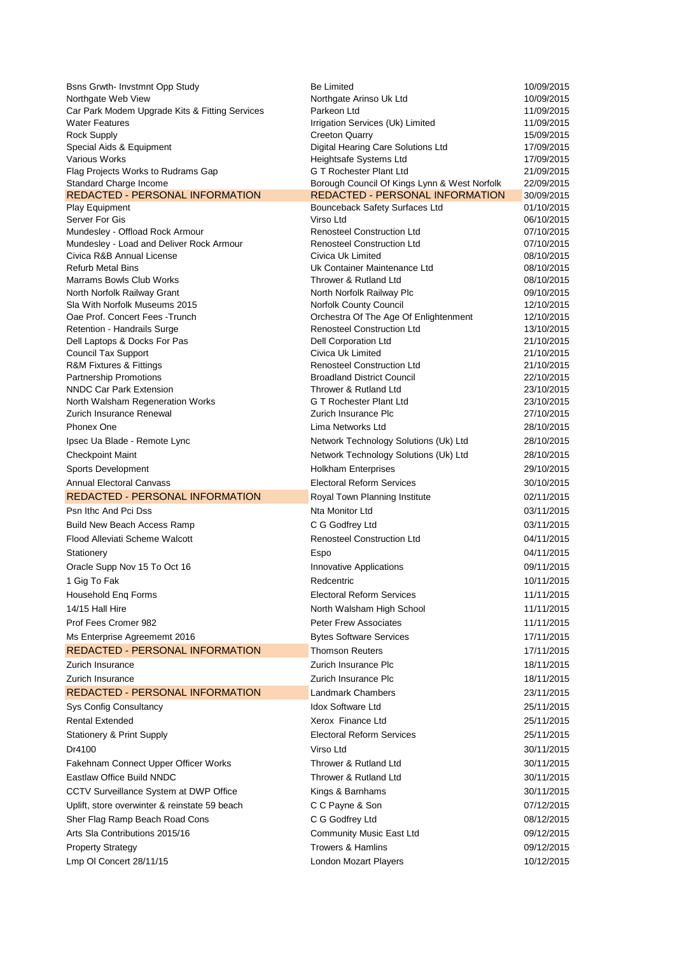| Bsns Grwth- Invstmnt Opp Study                                   | <b>Be Limited</b>                                                                      | 10/09/2015               |
|------------------------------------------------------------------|----------------------------------------------------------------------------------------|--------------------------|
| Northgate Web View                                               | Northgate Arinso Uk Ltd                                                                | 10/09/2015               |
| Car Park Modem Upgrade Kits & Fitting Services                   | Parkeon Ltd                                                                            | 11/09/2015               |
| <b>Water Features</b>                                            | Irrigation Services (Uk) Limited                                                       | 11/09/2015               |
| Rock Supply                                                      | <b>Creeton Quarry</b>                                                                  | 15/09/2015               |
| Special Aids & Equipment                                         | Digital Hearing Care Solutions Ltd                                                     | 17/09/2015               |
| Various Works                                                    | Heightsafe Systems Ltd                                                                 | 17/09/2015               |
| Flag Projects Works to Rudrams Gap                               | G T Rochester Plant Ltd                                                                | 21/09/2015               |
| Standard Charge Income<br><b>REDACTED - PERSONAL INFORMATION</b> | Borough Council Of Kings Lynn & West Norfolk<br><b>REDACTED - PERSONAL INFORMATION</b> | 22/09/2015<br>30/09/2015 |
| Play Equipment                                                   | Bounceback Safety Surfaces Ltd                                                         | 01/10/2015               |
| Server For Gis                                                   | Virso Ltd                                                                              | 06/10/2015               |
| Mundesley - Offload Rock Armour                                  | <b>Renosteel Construction Ltd</b>                                                      | 07/10/2015               |
| Mundesley - Load and Deliver Rock Armour                         | <b>Renosteel Construction Ltd</b>                                                      | 07/10/2015               |
| Civica R&B Annual License                                        | Civica Uk Limited                                                                      | 08/10/2015               |
| <b>Refurb Metal Bins</b>                                         | Uk Container Maintenance Ltd                                                           | 08/10/2015               |
| Marrams Bowls Club Works                                         | Thrower & Rutland Ltd                                                                  | 08/10/2015               |
| North Norfolk Railway Grant                                      | North Norfolk Railway Plc                                                              | 09/10/2015               |
| Sla With Norfolk Museums 2015                                    | Norfolk County Council                                                                 | 12/10/2015               |
| Oae Prof. Concert Fees - Trunch                                  | Orchestra Of The Age Of Enlightenment                                                  | 12/10/2015               |
| Retention - Handrails Surge                                      | <b>Renosteel Construction Ltd</b>                                                      | 13/10/2015               |
| Dell Laptops & Docks For Pas                                     | Dell Corporation Ltd                                                                   | 21/10/2015               |
| <b>Council Tax Support</b>                                       | Civica Uk Limited                                                                      | 21/10/2015               |
| R&M Fixtures & Fittings                                          | <b>Renosteel Construction Ltd</b>                                                      | 21/10/2015               |
| Partnership Promotions<br><b>NNDC Car Park Extension</b>         | <b>Broadland District Council</b><br>Thrower & Rutland Ltd                             | 22/10/2015               |
| North Walsham Regeneration Works                                 | <b>G T Rochester Plant Ltd</b>                                                         | 23/10/2015<br>23/10/2015 |
| Zurich Insurance Renewal                                         | Zurich Insurance Plc                                                                   | 27/10/2015               |
| <b>Phonex One</b>                                                | Lima Networks Ltd                                                                      | 28/10/2015               |
|                                                                  |                                                                                        | 28/10/2015               |
| Ipsec Ua Blade - Remote Lync                                     | Network Technology Solutions (Uk) Ltd                                                  |                          |
| <b>Checkpoint Maint</b>                                          | Network Technology Solutions (Uk) Ltd                                                  | 28/10/2015               |
| Sports Development                                               | <b>Holkham Enterprises</b>                                                             | 29/10/2015               |
| <b>Annual Electoral Canvass</b>                                  | <b>Electoral Reform Services</b>                                                       | 30/10/2015               |
| <b>REDACTED - PERSONAL INFORMATION</b>                           | Royal Town Planning Institute                                                          | 02/11/2015               |
| Psn Ithc And Pci Dss                                             | Nta Monitor Ltd                                                                        | 03/11/2015               |
| <b>Build New Beach Access Ramp</b>                               | C G Godfrey Ltd                                                                        | 03/11/2015               |
| Flood Alleviati Scheme Walcott                                   | <b>Renosteel Construction Ltd</b>                                                      | 04/11/2015               |
| Stationery                                                       | Espo                                                                                   | 04/11/2015               |
| Oracle Supp Nov 15 To Oct 16                                     | Innovative Applications                                                                | 09/11/2015               |
| 1 Gig To Fak                                                     | Redcentric                                                                             | 10/11/2015               |
| Household Eng Forms                                              | Electoral Reform Services                                                              | 11/11/2015               |
| 14/15 Hall Hire                                                  | North Walsham High School                                                              | 11/11/2015               |
| Prof Fees Cromer 982                                             | <b>Peter Frew Associates</b>                                                           | 11/11/2015               |
| Ms Enterprise Agreememt 2016                                     | <b>Bytes Software Services</b>                                                         | 17/11/2015               |
| <b>REDACTED - PERSONAL INFORMATION</b>                           | <b>Thomson Reuters</b>                                                                 | 17/11/2015               |
| Zurich Insurance                                                 | Zurich Insurance Plc                                                                   | 18/11/2015               |
| Zurich Insurance                                                 | Zurich Insurance Plc                                                                   | 18/11/2015               |
| <b>REDACTED - PERSONAL INFORMATION</b>                           | <b>Landmark Chambers</b>                                                               | 23/11/2015               |
| Sys Config Consultancy                                           | <b>Idox Software Ltd</b>                                                               | 25/11/2015               |
| <b>Rental Extended</b>                                           | Xerox Finance Ltd                                                                      | 25/11/2015               |
|                                                                  | <b>Electoral Reform Services</b>                                                       |                          |
| <b>Stationery &amp; Print Supply</b>                             |                                                                                        | 25/11/2015               |
| Dr4100                                                           | Virso Ltd                                                                              | 30/11/2015               |
| Fakehnam Connect Upper Officer Works                             | Thrower & Rutland Ltd                                                                  | 30/11/2015               |
| Eastlaw Office Build NNDC                                        | Thrower & Rutland Ltd                                                                  | 30/11/2015               |
| CCTV Surveillance System at DWP Office                           | Kings & Barnhams                                                                       | 30/11/2015               |
| Uplift, store overwinter & reinstate 59 beach                    | C C Payne & Son                                                                        | 07/12/2015               |
| Sher Flag Ramp Beach Road Cons                                   | C G Godfrey Ltd                                                                        | 08/12/2015               |
| Arts Sla Contributions 2015/16                                   | Community Music East Ltd                                                               | 09/12/2015               |
| <b>Property Strategy</b>                                         | <b>Trowers &amp; Hamlins</b>                                                           | 09/12/2015               |
| Lmp OI Concert 28/11/15                                          | London Mozart Players                                                                  | 10/12/2015               |